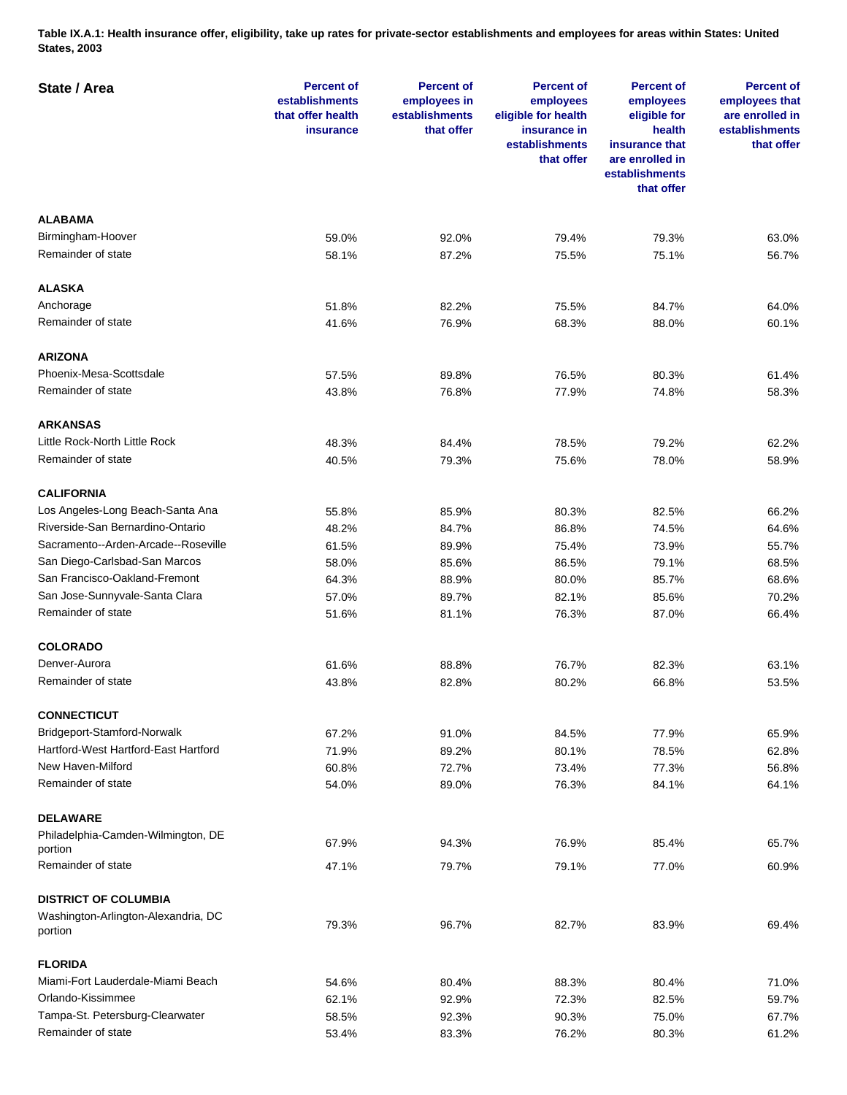**Table IX.A.1: Health insurance offer, eligibility, take up rates for private-sector establishments and employees for areas within States: United States, 2003** 

| State / Area                                  | <b>Percent of</b><br>establishments<br>that offer health<br>insurance | <b>Percent of</b><br>employees in<br>establishments<br>that offer | <b>Percent of</b><br>employees<br>eligible for health<br>insurance in<br>establishments<br>that offer | <b>Percent of</b><br>employees<br>eligible for<br>health<br>insurance that<br>are enrolled in<br>establishments<br>that offer | <b>Percent of</b><br>employees that<br>are enrolled in<br>establishments<br>that offer |
|-----------------------------------------------|-----------------------------------------------------------------------|-------------------------------------------------------------------|-------------------------------------------------------------------------------------------------------|-------------------------------------------------------------------------------------------------------------------------------|----------------------------------------------------------------------------------------|
| <b>ALABAMA</b>                                |                                                                       |                                                                   |                                                                                                       |                                                                                                                               |                                                                                        |
| Birmingham-Hoover                             | 59.0%                                                                 | 92.0%                                                             | 79.4%                                                                                                 | 79.3%                                                                                                                         | 63.0%                                                                                  |
| Remainder of state                            | 58.1%                                                                 | 87.2%                                                             | 75.5%                                                                                                 | 75.1%                                                                                                                         | 56.7%                                                                                  |
| <b>ALASKA</b>                                 |                                                                       |                                                                   |                                                                                                       |                                                                                                                               |                                                                                        |
| Anchorage                                     | 51.8%                                                                 | 82.2%                                                             | 75.5%                                                                                                 | 84.7%                                                                                                                         | 64.0%                                                                                  |
| Remainder of state                            | 41.6%                                                                 | 76.9%                                                             | 68.3%                                                                                                 | 88.0%                                                                                                                         | 60.1%                                                                                  |
| <b>ARIZONA</b>                                |                                                                       |                                                                   |                                                                                                       |                                                                                                                               |                                                                                        |
| Phoenix-Mesa-Scottsdale                       | 57.5%                                                                 | 89.8%                                                             | 76.5%                                                                                                 | 80.3%                                                                                                                         | 61.4%                                                                                  |
| Remainder of state                            | 43.8%                                                                 | 76.8%                                                             | 77.9%                                                                                                 | 74.8%                                                                                                                         | 58.3%                                                                                  |
| <b>ARKANSAS</b>                               |                                                                       |                                                                   |                                                                                                       |                                                                                                                               |                                                                                        |
| Little Rock-North Little Rock                 | 48.3%                                                                 | 84.4%                                                             | 78.5%                                                                                                 | 79.2%                                                                                                                         | 62.2%                                                                                  |
| Remainder of state                            | 40.5%                                                                 | 79.3%                                                             | 75.6%                                                                                                 | 78.0%                                                                                                                         | 58.9%                                                                                  |
|                                               |                                                                       |                                                                   |                                                                                                       |                                                                                                                               |                                                                                        |
| <b>CALIFORNIA</b>                             |                                                                       |                                                                   |                                                                                                       |                                                                                                                               |                                                                                        |
| Los Angeles-Long Beach-Santa Ana              | 55.8%                                                                 | 85.9%                                                             | 80.3%                                                                                                 | 82.5%                                                                                                                         | 66.2%                                                                                  |
| Riverside-San Bernardino-Ontario              | 48.2%                                                                 | 84.7%                                                             | 86.8%                                                                                                 | 74.5%                                                                                                                         | 64.6%                                                                                  |
| Sacramento--Arden-Arcade--Roseville           | 61.5%                                                                 | 89.9%                                                             | 75.4%                                                                                                 | 73.9%                                                                                                                         | 55.7%                                                                                  |
| San Diego-Carlsbad-San Marcos                 | 58.0%                                                                 | 85.6%                                                             | 86.5%                                                                                                 | 79.1%                                                                                                                         | 68.5%                                                                                  |
| San Francisco-Oakland-Fremont                 | 64.3%                                                                 | 88.9%                                                             | 80.0%                                                                                                 | 85.7%                                                                                                                         | 68.6%                                                                                  |
| San Jose-Sunnyvale-Santa Clara                | 57.0%                                                                 | 89.7%                                                             | 82.1%                                                                                                 | 85.6%                                                                                                                         | 70.2%                                                                                  |
| Remainder of state                            | 51.6%                                                                 | 81.1%                                                             | 76.3%                                                                                                 | 87.0%                                                                                                                         | 66.4%                                                                                  |
| <b>COLORADO</b>                               |                                                                       |                                                                   |                                                                                                       |                                                                                                                               |                                                                                        |
| Denver-Aurora                                 | 61.6%                                                                 | 88.8%                                                             | 76.7%                                                                                                 | 82.3%                                                                                                                         | 63.1%                                                                                  |
| Remainder of state                            | 43.8%                                                                 | 82.8%                                                             | 80.2%                                                                                                 | 66.8%                                                                                                                         | 53.5%                                                                                  |
| <b>CONNECTICUT</b>                            |                                                                       |                                                                   |                                                                                                       |                                                                                                                               |                                                                                        |
| Bridgeport-Stamford-Norwalk                   | 67.2%                                                                 | 91.0%                                                             | 84.5%                                                                                                 | 77.9%                                                                                                                         | 65.9%                                                                                  |
| Hartford-West Hartford-East Hartford          | 71.9%                                                                 | 89.2%                                                             | 80.1%                                                                                                 | 78.5%                                                                                                                         | 62.8%                                                                                  |
| New Haven-Milford                             | 60.8%                                                                 | 72.7%                                                             | 73.4%                                                                                                 | 77.3%                                                                                                                         | 56.8%                                                                                  |
| Remainder of state                            | 54.0%                                                                 | 89.0%                                                             | 76.3%                                                                                                 | 84.1%                                                                                                                         | 64.1%                                                                                  |
| <b>DELAWARE</b>                               |                                                                       |                                                                   |                                                                                                       |                                                                                                                               |                                                                                        |
| Philadelphia-Camden-Wilmington, DE<br>portion | 67.9%                                                                 | 94.3%                                                             | 76.9%                                                                                                 | 85.4%                                                                                                                         | 65.7%                                                                                  |
| Remainder of state                            | 47.1%                                                                 | 79.7%                                                             | 79.1%                                                                                                 | 77.0%                                                                                                                         | 60.9%                                                                                  |
| <b>DISTRICT OF COLUMBIA</b>                   |                                                                       |                                                                   |                                                                                                       |                                                                                                                               |                                                                                        |
| Washington-Arlington-Alexandria, DC           |                                                                       |                                                                   |                                                                                                       |                                                                                                                               |                                                                                        |
| portion                                       | 79.3%                                                                 | 96.7%                                                             | 82.7%                                                                                                 | 83.9%                                                                                                                         | 69.4%                                                                                  |
| <b>FLORIDA</b>                                |                                                                       |                                                                   |                                                                                                       |                                                                                                                               |                                                                                        |
| Miami-Fort Lauderdale-Miami Beach             | 54.6%                                                                 | 80.4%                                                             | 88.3%                                                                                                 | 80.4%                                                                                                                         | 71.0%                                                                                  |
| Orlando-Kissimmee                             | 62.1%                                                                 | 92.9%                                                             | 72.3%                                                                                                 | 82.5%                                                                                                                         | 59.7%                                                                                  |
| Tampa-St. Petersburg-Clearwater               | 58.5%                                                                 | 92.3%                                                             | 90.3%                                                                                                 | 75.0%                                                                                                                         | 67.7%                                                                                  |
| Remainder of state                            | 53.4%                                                                 | 83.3%                                                             | 76.2%                                                                                                 | 80.3%                                                                                                                         | 61.2%                                                                                  |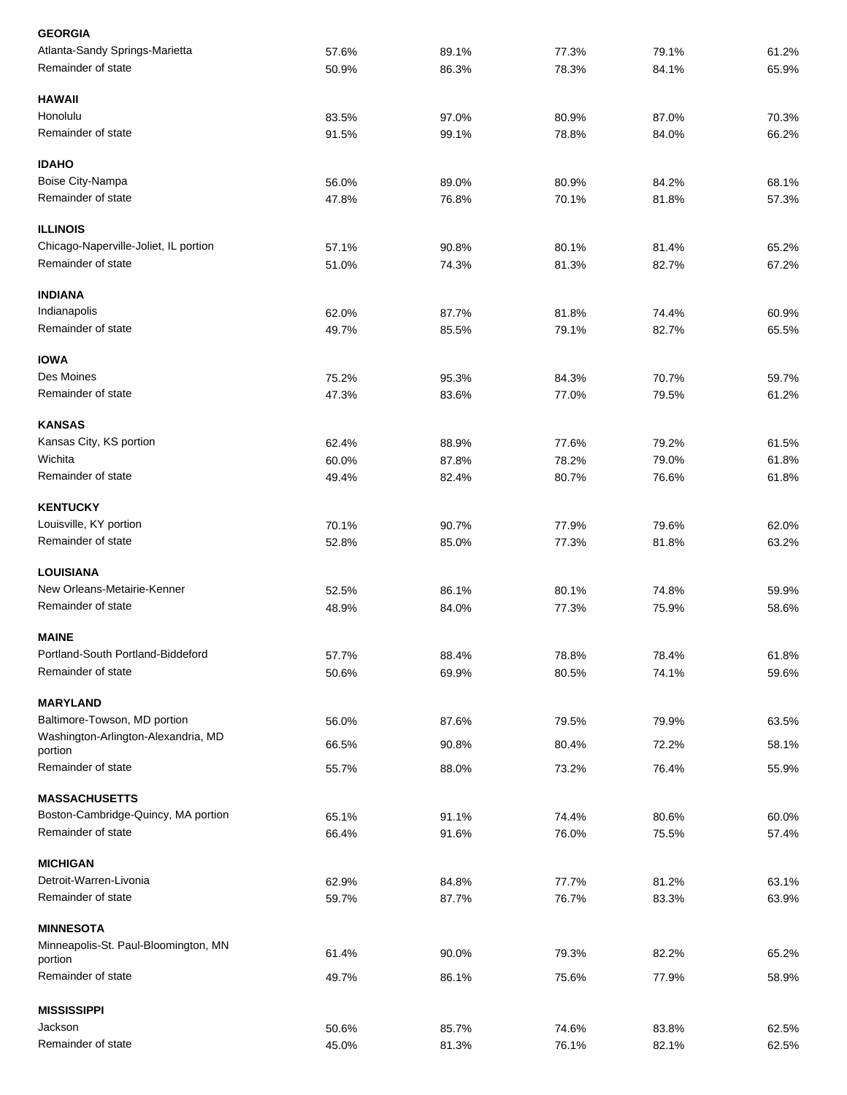| <b>GEORGIA</b>                                 |       |       |       |       |       |
|------------------------------------------------|-------|-------|-------|-------|-------|
| Atlanta-Sandy Springs-Marietta                 | 57.6% | 89.1% | 77.3% | 79.1% | 61.2% |
| Remainder of state                             | 50.9% | 86.3% | 78.3% | 84.1% | 65.9% |
| <b>HAWAII</b>                                  |       |       |       |       |       |
| Honolulu                                       | 83.5% | 97.0% | 80.9% | 87.0% | 70.3% |
| Remainder of state                             | 91.5% | 99.1% | 78.8% | 84.0% | 66.2% |
| <b>IDAHO</b>                                   |       |       |       |       |       |
| Boise City-Nampa                               | 56.0% | 89.0% | 80.9% | 84.2% | 68.1% |
| Remainder of state                             | 47.8% | 76.8% | 70.1% | 81.8% | 57.3% |
| <b>ILLINOIS</b>                                |       |       |       |       |       |
| Chicago-Naperville-Joliet, IL portion          | 57.1% | 90.8% | 80.1% | 81.4% | 65.2% |
| Remainder of state                             | 51.0% | 74.3% | 81.3% | 82.7% | 67.2% |
| <b>INDIANA</b>                                 |       |       |       |       |       |
| Indianapolis                                   | 62.0% | 87.7% | 81.8% | 74.4% | 60.9% |
| Remainder of state                             | 49.7% | 85.5% | 79.1% | 82.7% | 65.5% |
| <b>IOWA</b>                                    |       |       |       |       |       |
| Des Moines                                     | 75.2% | 95.3% | 84.3% | 70.7% | 59.7% |
| Remainder of state                             | 47.3% | 83.6% | 77.0% | 79.5% | 61.2% |
| <b>KANSAS</b>                                  |       |       |       |       |       |
| Kansas City, KS portion                        | 62.4% | 88.9% | 77.6% | 79.2% | 61.5% |
| Wichita                                        | 60.0% | 87.8% | 78.2% | 79.0% | 61.8% |
| Remainder of state                             | 49.4% | 82.4% | 80.7% | 76.6% | 61.8% |
| <b>KENTUCKY</b>                                |       |       |       |       |       |
| Louisville, KY portion                         | 70.1% | 90.7% | 77.9% | 79.6% | 62.0% |
| Remainder of state                             | 52.8% | 85.0% | 77.3% | 81.8% | 63.2% |
| <b>LOUISIANA</b>                               |       |       |       |       |       |
| New Orleans-Metairie-Kenner                    | 52.5% | 86.1% | 80.1% | 74.8% | 59.9% |
| Remainder of state                             | 48.9% | 84.0% | 77.3% | 75.9% | 58.6% |
| <b>MAINE</b>                                   |       |       |       |       |       |
| Portland-South Portland-Biddeford              | 57.7% | 88.4% | 78.8% | 78.4% | 61.8% |
| Remainder of state                             | 50.6% | 69.9% | 80.5% | 74.1% | 59.6% |
| <b>MARYLAND</b>                                |       |       |       |       |       |
| Baltimore-Towson, MD portion                   | 56.0% | 87.6% | 79.5% | 79.9% | 63.5% |
| Washington-Arlington-Alexandria, MD<br>portion | 66.5% | 90.8% | 80.4% | 72.2% | 58.1% |
| Remainder of state                             | 55.7% | 88.0% | 73.2% | 76.4% | 55.9% |
| <b>MASSACHUSETTS</b>                           |       |       |       |       |       |
| Boston-Cambridge-Quincy, MA portion            | 65.1% | 91.1% | 74.4% | 80.6% | 60.0% |
| Remainder of state                             | 66.4% | 91.6% | 76.0% | 75.5% | 57.4% |
| <b>MICHIGAN</b>                                |       |       |       |       |       |
| Detroit-Warren-Livonia                         | 62.9% | 84.8% | 77.7% | 81.2% | 63.1% |
| Remainder of state                             | 59.7% | 87.7% | 76.7% | 83.3% | 63.9% |
| <b>MINNESOTA</b>                               |       |       |       |       |       |
| Minneapolis-St. Paul-Bloomington, MN           |       |       |       |       |       |
| portion                                        | 61.4% | 90.0% | 79.3% | 82.2% | 65.2% |
| Remainder of state                             | 49.7% | 86.1% | 75.6% | 77.9% | 58.9% |
| <b>MISSISSIPPI</b>                             |       |       |       |       |       |
| Jackson                                        | 50.6% | 85.7% | 74.6% | 83.8% | 62.5% |
| Remainder of state                             | 45.0% | 81.3% | 76.1% | 82.1% | 62.5% |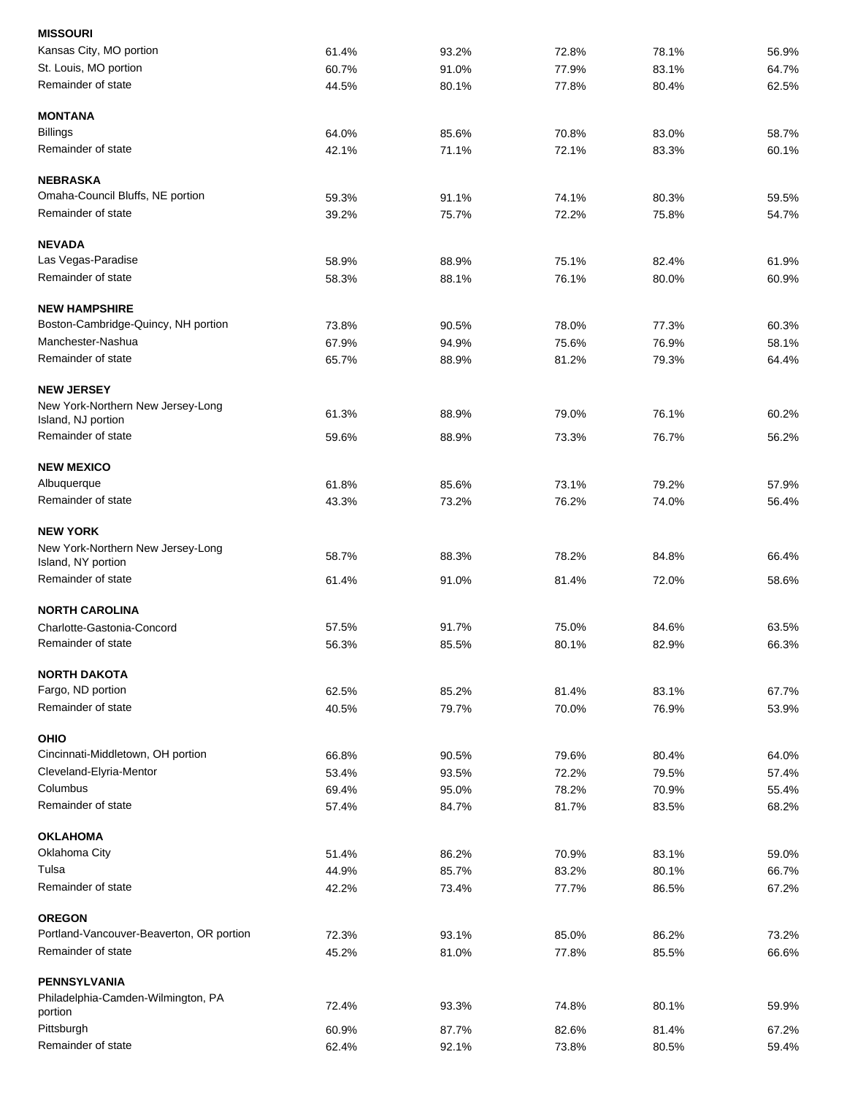| 61.4% | 93.2%                                                                | 72.8%                                                                | 78.1%                                                                                           | 56.9%                                                                         |
|-------|----------------------------------------------------------------------|----------------------------------------------------------------------|-------------------------------------------------------------------------------------------------|-------------------------------------------------------------------------------|
|       |                                                                      |                                                                      |                                                                                                 |                                                                               |
| 60.7% | 91.0%                                                                | 77.9%                                                                | 83.1%                                                                                           | 64.7%                                                                         |
| 44.5% | 80.1%                                                                | 77.8%                                                                | 80.4%                                                                                           | 62.5%                                                                         |
|       |                                                                      |                                                                      |                                                                                                 |                                                                               |
| 64.0% | 85.6%                                                                | 70.8%                                                                | 83.0%                                                                                           | 58.7%                                                                         |
| 42.1% | 71.1%                                                                | 72.1%                                                                | 83.3%                                                                                           | 60.1%                                                                         |
|       |                                                                      |                                                                      |                                                                                                 |                                                                               |
| 59.3% | 91.1%                                                                | 74.1%                                                                | 80.3%                                                                                           | 59.5%                                                                         |
| 39.2% | 75.7%                                                                | 72.2%                                                                | 75.8%                                                                                           | 54.7%                                                                         |
|       |                                                                      |                                                                      |                                                                                                 |                                                                               |
| 58.9% | 88.9%                                                                | 75.1%                                                                | 82.4%                                                                                           | 61.9%                                                                         |
| 58.3% | 88.1%                                                                | 76.1%                                                                | 80.0%                                                                                           | 60.9%                                                                         |
|       |                                                                      |                                                                      |                                                                                                 |                                                                               |
| 73.8% | 90.5%                                                                | 78.0%                                                                | 77.3%                                                                                           | 60.3%                                                                         |
| 67.9% | 94.9%                                                                | 75.6%                                                                | 76.9%                                                                                           | 58.1%                                                                         |
| 65.7% | 88.9%                                                                | 81.2%                                                                | 79.3%                                                                                           | 64.4%                                                                         |
|       |                                                                      |                                                                      |                                                                                                 |                                                                               |
|       |                                                                      |                                                                      |                                                                                                 |                                                                               |
|       |                                                                      |                                                                      |                                                                                                 | 60.2%                                                                         |
| 59.6% | 88.9%                                                                | 73.3%                                                                | 76.7%                                                                                           | 56.2%                                                                         |
|       |                                                                      |                                                                      |                                                                                                 |                                                                               |
| 61.8% | 85.6%                                                                | 73.1%                                                                | 79.2%                                                                                           | 57.9%                                                                         |
| 43.3% | 73.2%                                                                | 76.2%                                                                | 74.0%                                                                                           | 56.4%                                                                         |
|       |                                                                      |                                                                      |                                                                                                 |                                                                               |
|       |                                                                      |                                                                      |                                                                                                 | 66.4%                                                                         |
|       |                                                                      |                                                                      |                                                                                                 |                                                                               |
| 61.4% | 91.0%                                                                | 81.4%                                                                |                                                                                                 | 58.6%                                                                         |
|       |                                                                      |                                                                      |                                                                                                 |                                                                               |
| 57.5% | 91.7%                                                                |                                                                      | 84.6%                                                                                           | 63.5%                                                                         |
| 56.3% | 85.5%                                                                | 80.1%                                                                | 82.9%                                                                                           | 66.3%                                                                         |
|       |                                                                      |                                                                      |                                                                                                 |                                                                               |
|       |                                                                      |                                                                      |                                                                                                 | 67.7%                                                                         |
| 40.5% | 79.7%                                                                | 70.0%                                                                | 76.9%                                                                                           | 53.9%                                                                         |
|       |                                                                      |                                                                      |                                                                                                 |                                                                               |
|       |                                                                      |                                                                      |                                                                                                 | 64.0%                                                                         |
|       |                                                                      |                                                                      |                                                                                                 | 57.4%                                                                         |
|       |                                                                      |                                                                      |                                                                                                 | 55.4%                                                                         |
| 57.4% | 84.7%                                                                |                                                                      | 83.5%                                                                                           | 68.2%                                                                         |
|       |                                                                      |                                                                      |                                                                                                 |                                                                               |
| 51.4% | 86.2%                                                                |                                                                      | 83.1%                                                                                           | 59.0%                                                                         |
| 44.9% |                                                                      |                                                                      |                                                                                                 | 66.7%                                                                         |
| 42.2% | 73.4%                                                                | 77.7%                                                                | 86.5%                                                                                           | 67.2%                                                                         |
|       |                                                                      |                                                                      |                                                                                                 |                                                                               |
| 72.3% | 93.1%                                                                | 85.0%                                                                | 86.2%                                                                                           | 73.2%                                                                         |
| 45.2% | 81.0%                                                                | 77.8%                                                                | 85.5%                                                                                           | 66.6%                                                                         |
|       |                                                                      |                                                                      |                                                                                                 |                                                                               |
| 72.4% | 93.3%                                                                | 74.8%                                                                | 80.1%                                                                                           | 59.9%                                                                         |
|       |                                                                      |                                                                      |                                                                                                 | 67.2%                                                                         |
|       | 92.1%                                                                | 73.8%                                                                | 80.5%                                                                                           | 59.4%                                                                         |
|       | 61.3%<br>58.7%<br>62.5%<br>66.8%<br>53.4%<br>69.4%<br>60.9%<br>62.4% | 88.9%<br>88.3%<br>85.2%<br>90.5%<br>93.5%<br>95.0%<br>85.7%<br>87.7% | 79.0%<br>78.2%<br>75.0%<br>81.4%<br>79.6%<br>72.2%<br>78.2%<br>81.7%<br>70.9%<br>83.2%<br>82.6% | 76.1%<br>84.8%<br>72.0%<br>83.1%<br>80.4%<br>79.5%<br>70.9%<br>80.1%<br>81.4% |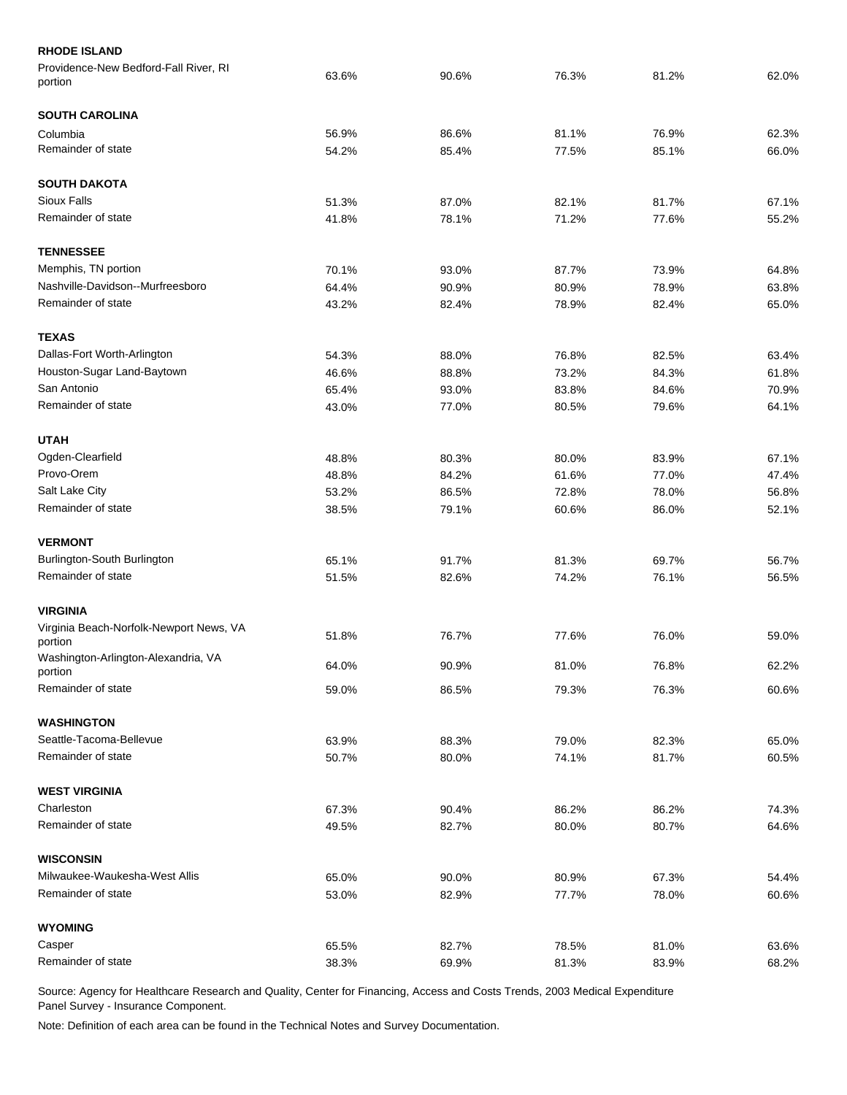| <b>RHODE ISLAND</b>                                |       |       |       |       |       |
|----------------------------------------------------|-------|-------|-------|-------|-------|
| Providence-New Bedford-Fall River, RI<br>portion   | 63.6% | 90.6% | 76.3% | 81.2% | 62.0% |
| <b>SOUTH CAROLINA</b>                              |       |       |       |       |       |
| Columbia                                           | 56.9% | 86.6% | 81.1% | 76.9% | 62.3% |
| Remainder of state                                 | 54.2% | 85.4% | 77.5% | 85.1% | 66.0% |
| <b>SOUTH DAKOTA</b>                                |       |       |       |       |       |
| Sioux Falls                                        | 51.3% | 87.0% | 82.1% | 81.7% | 67.1% |
| Remainder of state                                 | 41.8% | 78.1% | 71.2% | 77.6% | 55.2% |
| <b>TENNESSEE</b>                                   |       |       |       |       |       |
| Memphis, TN portion                                | 70.1% | 93.0% | 87.7% | 73.9% | 64.8% |
| Nashville-Davidson--Murfreesboro                   | 64.4% | 90.9% | 80.9% | 78.9% | 63.8% |
| Remainder of state                                 | 43.2% | 82.4% | 78.9% | 82.4% | 65.0% |
| <b>TEXAS</b>                                       |       |       |       |       |       |
| Dallas-Fort Worth-Arlington                        | 54.3% | 88.0% | 76.8% | 82.5% | 63.4% |
| Houston-Sugar Land-Baytown                         | 46.6% | 88.8% | 73.2% | 84.3% | 61.8% |
| San Antonio                                        | 65.4% | 93.0% | 83.8% | 84.6% | 70.9% |
| Remainder of state                                 | 43.0% | 77.0% | 80.5% | 79.6% | 64.1% |
| <b>UTAH</b>                                        |       |       |       |       |       |
| Ogden-Clearfield                                   | 48.8% | 80.3% | 80.0% | 83.9% | 67.1% |
| Provo-Orem                                         | 48.8% | 84.2% | 61.6% | 77.0% | 47.4% |
| Salt Lake City                                     | 53.2% | 86.5% | 72.8% | 78.0% | 56.8% |
| Remainder of state                                 | 38.5% | 79.1% | 60.6% | 86.0% | 52.1% |
| <b>VERMONT</b>                                     |       |       |       |       |       |
| Burlington-South Burlington                        | 65.1% | 91.7% | 81.3% | 69.7% | 56.7% |
| Remainder of state                                 | 51.5% | 82.6% | 74.2% | 76.1% | 56.5% |
| <b>VIRGINIA</b>                                    |       |       |       |       |       |
| Virginia Beach-Norfolk-Newport News, VA<br>portion | 51.8% | 76.7% | 77.6% | 76.0% | 59.0% |
| Washington-Arlington-Alexandria, VA<br>portion     | 64.0% | 90.9% | 81.0% | 76.8% | 62.2% |
| Remainder of state                                 | 59.0% | 86.5% | 79.3% | 76.3% | 60.6% |
| <b>WASHINGTON</b>                                  |       |       |       |       |       |
| Seattle-Tacoma-Bellevue                            | 63.9% | 88.3% | 79.0% | 82.3% | 65.0% |
| Remainder of state                                 | 50.7% | 80.0% | 74.1% | 81.7% | 60.5% |
| <b>WEST VIRGINIA</b>                               |       |       |       |       |       |
| Charleston                                         | 67.3% | 90.4% | 86.2% | 86.2% | 74.3% |
| Remainder of state                                 | 49.5% | 82.7% | 80.0% | 80.7% | 64.6% |
| <b>WISCONSIN</b>                                   |       |       |       |       |       |
| Milwaukee-Waukesha-West Allis                      | 65.0% | 90.0% | 80.9% | 67.3% | 54.4% |
| Remainder of state                                 | 53.0% | 82.9% | 77.7% | 78.0% | 60.6% |
| <b>WYOMING</b>                                     |       |       |       |       |       |
| Casper                                             | 65.5% | 82.7% | 78.5% | 81.0% | 63.6% |
| Remainder of state                                 | 38.3% | 69.9% | 81.3% | 83.9% | 68.2% |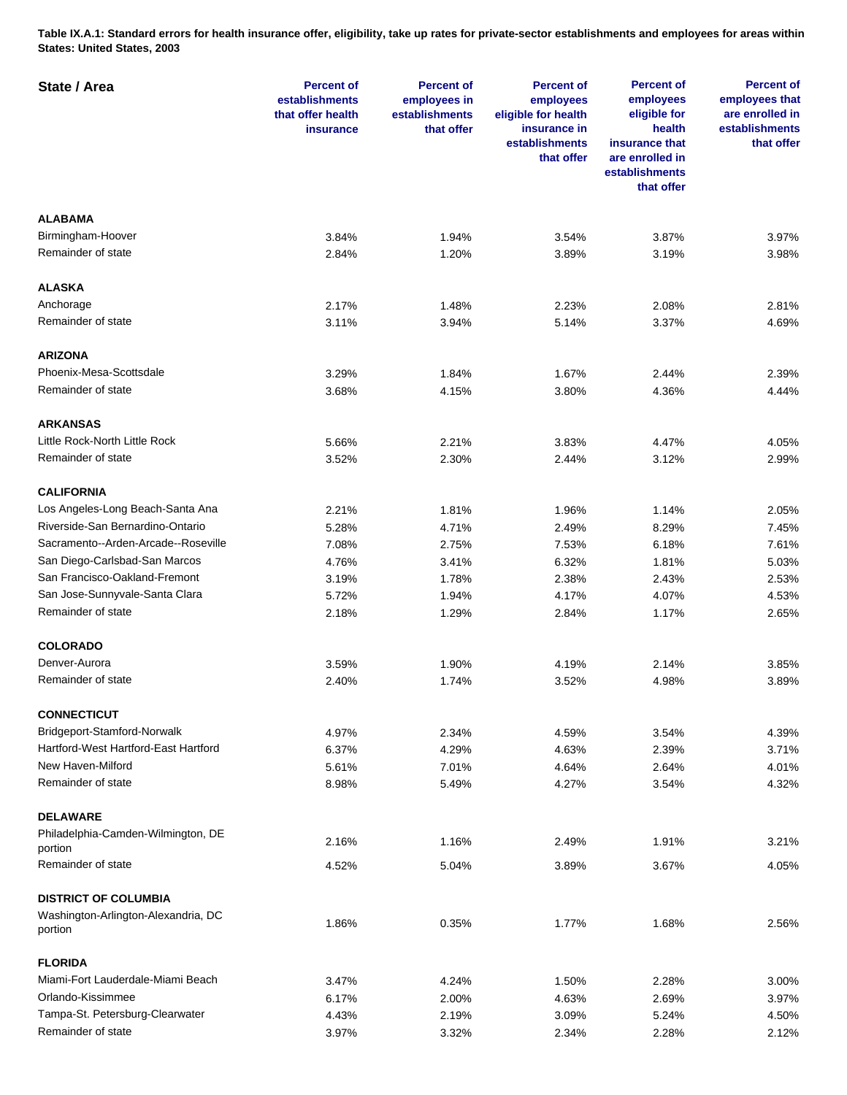**Table IX.A.1: Standard errors for health insurance offer, eligibility, take up rates for private-sector establishments and employees for areas within States: United States, 2003** 

| State / Area                                  | <b>Percent of</b><br>establishments<br>that offer health<br><b>insurance</b> | <b>Percent of</b><br>employees in<br>establishments<br>that offer | <b>Percent of</b><br>employees<br>eligible for health<br>insurance in<br>establishments<br>that offer | <b>Percent of</b><br>employees<br>eligible for<br>health<br>insurance that<br>are enrolled in<br>establishments<br>that offer | <b>Percent of</b><br>employees that<br>are enrolled in<br>establishments<br>that offer |
|-----------------------------------------------|------------------------------------------------------------------------------|-------------------------------------------------------------------|-------------------------------------------------------------------------------------------------------|-------------------------------------------------------------------------------------------------------------------------------|----------------------------------------------------------------------------------------|
| <b>ALABAMA</b>                                |                                                                              |                                                                   |                                                                                                       |                                                                                                                               |                                                                                        |
| Birmingham-Hoover                             | 3.84%                                                                        | 1.94%                                                             | 3.54%                                                                                                 | 3.87%                                                                                                                         | 3.97%                                                                                  |
| Remainder of state                            | 2.84%                                                                        | 1.20%                                                             | 3.89%                                                                                                 | 3.19%                                                                                                                         | 3.98%                                                                                  |
|                                               |                                                                              |                                                                   |                                                                                                       |                                                                                                                               |                                                                                        |
| <b>ALASKA</b>                                 |                                                                              |                                                                   |                                                                                                       |                                                                                                                               |                                                                                        |
| Anchorage                                     | 2.17%                                                                        | 1.48%                                                             | 2.23%                                                                                                 | 2.08%                                                                                                                         | 2.81%                                                                                  |
| Remainder of state                            | 3.11%                                                                        | 3.94%                                                             | 5.14%                                                                                                 | 3.37%                                                                                                                         | 4.69%                                                                                  |
| <b>ARIZONA</b>                                |                                                                              |                                                                   |                                                                                                       |                                                                                                                               |                                                                                        |
| Phoenix-Mesa-Scottsdale                       | 3.29%                                                                        | 1.84%                                                             | 1.67%                                                                                                 | 2.44%                                                                                                                         | 2.39%                                                                                  |
| Remainder of state                            | 3.68%                                                                        | 4.15%                                                             | 3.80%                                                                                                 | 4.36%                                                                                                                         | 4.44%                                                                                  |
| <b>ARKANSAS</b>                               |                                                                              |                                                                   |                                                                                                       |                                                                                                                               |                                                                                        |
| Little Rock-North Little Rock                 | 5.66%                                                                        | 2.21%                                                             | 3.83%                                                                                                 | 4.47%                                                                                                                         | 4.05%                                                                                  |
| Remainder of state                            | 3.52%                                                                        | 2.30%                                                             | 2.44%                                                                                                 | 3.12%                                                                                                                         | 2.99%                                                                                  |
|                                               |                                                                              |                                                                   |                                                                                                       |                                                                                                                               |                                                                                        |
| <b>CALIFORNIA</b>                             |                                                                              |                                                                   |                                                                                                       |                                                                                                                               |                                                                                        |
| Los Angeles-Long Beach-Santa Ana              | 2.21%                                                                        | 1.81%                                                             | 1.96%                                                                                                 | 1.14%                                                                                                                         | 2.05%                                                                                  |
| Riverside-San Bernardino-Ontario              | 5.28%                                                                        | 4.71%                                                             | 2.49%                                                                                                 | 8.29%                                                                                                                         | 7.45%                                                                                  |
| Sacramento--Arden-Arcade--Roseville           | 7.08%                                                                        | 2.75%                                                             | 7.53%                                                                                                 | 6.18%                                                                                                                         | 7.61%                                                                                  |
| San Diego-Carlsbad-San Marcos                 | 4.76%                                                                        | 3.41%                                                             | 6.32%                                                                                                 | 1.81%                                                                                                                         | 5.03%                                                                                  |
| San Francisco-Oakland-Fremont                 | 3.19%                                                                        | 1.78%                                                             | 2.38%                                                                                                 | 2.43%                                                                                                                         | 2.53%                                                                                  |
| San Jose-Sunnyvale-Santa Clara                | 5.72%                                                                        | 1.94%                                                             | 4.17%                                                                                                 | 4.07%                                                                                                                         | 4.53%                                                                                  |
| Remainder of state                            | 2.18%                                                                        | 1.29%                                                             | 2.84%                                                                                                 | 1.17%                                                                                                                         | 2.65%                                                                                  |
| <b>COLORADO</b>                               |                                                                              |                                                                   |                                                                                                       |                                                                                                                               |                                                                                        |
| Denver-Aurora                                 | 3.59%                                                                        | 1.90%                                                             | 4.19%                                                                                                 | 2.14%                                                                                                                         | 3.85%                                                                                  |
| Remainder of state                            | 2.40%                                                                        | 1.74%                                                             | 3.52%                                                                                                 | 4.98%                                                                                                                         | 3.89%                                                                                  |
| <b>CONNECTICUT</b>                            |                                                                              |                                                                   |                                                                                                       |                                                                                                                               |                                                                                        |
| Bridgeport-Stamford-Norwalk                   | 4.97%                                                                        | 2.34%                                                             | 4.59%                                                                                                 | 3.54%                                                                                                                         | 4.39%                                                                                  |
| Hartford-West Hartford-East Hartford          | 6.37%                                                                        | 4.29%                                                             | 4.63%                                                                                                 | 2.39%                                                                                                                         | 3.71%                                                                                  |
| New Haven-Milford                             | 5.61%                                                                        | 7.01%                                                             | 4.64%                                                                                                 | 2.64%                                                                                                                         | 4.01%                                                                                  |
| Remainder of state                            | 8.98%                                                                        | 5.49%                                                             | 4.27%                                                                                                 | 3.54%                                                                                                                         | 4.32%                                                                                  |
|                                               |                                                                              |                                                                   |                                                                                                       |                                                                                                                               |                                                                                        |
| <b>DELAWARE</b>                               |                                                                              |                                                                   |                                                                                                       |                                                                                                                               |                                                                                        |
| Philadelphia-Camden-Wilmington, DE<br>portion | 2.16%                                                                        | 1.16%                                                             | 2.49%                                                                                                 | 1.91%                                                                                                                         | 3.21%                                                                                  |
| Remainder of state                            | 4.52%                                                                        | 5.04%                                                             | 3.89%                                                                                                 | 3.67%                                                                                                                         | 4.05%                                                                                  |
| <b>DISTRICT OF COLUMBIA</b>                   |                                                                              |                                                                   |                                                                                                       |                                                                                                                               |                                                                                        |
| Washington-Arlington-Alexandria, DC           |                                                                              |                                                                   |                                                                                                       |                                                                                                                               |                                                                                        |
| portion                                       | 1.86%                                                                        | 0.35%                                                             | 1.77%                                                                                                 | 1.68%                                                                                                                         | 2.56%                                                                                  |
| <b>FLORIDA</b>                                |                                                                              |                                                                   |                                                                                                       |                                                                                                                               |                                                                                        |
| Miami-Fort Lauderdale-Miami Beach             | 3.47%                                                                        | 4.24%                                                             | 1.50%                                                                                                 | 2.28%                                                                                                                         | 3.00%                                                                                  |
| Orlando-Kissimmee                             | 6.17%                                                                        | 2.00%                                                             | 4.63%                                                                                                 | 2.69%                                                                                                                         | 3.97%                                                                                  |
| Tampa-St. Petersburg-Clearwater               | 4.43%                                                                        | 2.19%                                                             | 3.09%                                                                                                 | 5.24%                                                                                                                         | 4.50%                                                                                  |
| Remainder of state                            | 3.97%                                                                        | 3.32%                                                             | 2.34%                                                                                                 | 2.28%                                                                                                                         | 2.12%                                                                                  |
|                                               |                                                                              |                                                                   |                                                                                                       |                                                                                                                               |                                                                                        |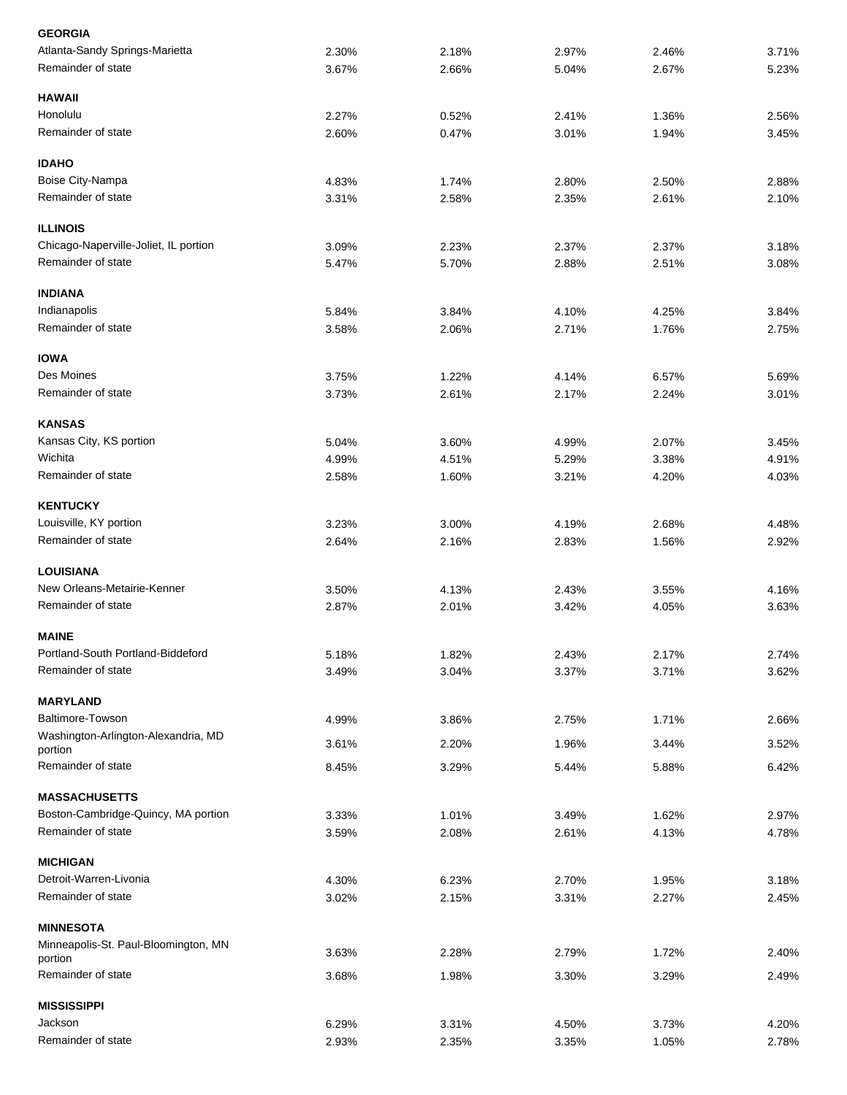| <b>GEORGIA</b>                                 |       |       |       |       |       |
|------------------------------------------------|-------|-------|-------|-------|-------|
| Atlanta-Sandy Springs-Marietta                 | 2.30% | 2.18% | 2.97% | 2.46% | 3.71% |
| Remainder of state                             | 3.67% | 2.66% | 5.04% | 2.67% | 5.23% |
| <b>HAWAII</b>                                  |       |       |       |       |       |
| Honolulu                                       | 2.27% | 0.52% | 2.41% | 1.36% | 2.56% |
| Remainder of state                             | 2.60% | 0.47% | 3.01% | 1.94% | 3.45% |
| <b>IDAHO</b>                                   |       |       |       |       |       |
| Boise City-Nampa                               | 4.83% | 1.74% | 2.80% | 2.50% | 2.88% |
| Remainder of state                             | 3.31% | 2.58% | 2.35% | 2.61% | 2.10% |
| <b>ILLINOIS</b>                                |       |       |       |       |       |
| Chicago-Naperville-Joliet, IL portion          | 3.09% | 2.23% | 2.37% | 2.37% | 3.18% |
| Remainder of state                             | 5.47% | 5.70% | 2.88% | 2.51% | 3.08% |
| <b>INDIANA</b>                                 |       |       |       |       |       |
| Indianapolis                                   | 5.84% | 3.84% | 4.10% | 4.25% | 3.84% |
| Remainder of state                             | 3.58% | 2.06% | 2.71% | 1.76% | 2.75% |
| <b>IOWA</b>                                    |       |       |       |       |       |
| Des Moines                                     | 3.75% | 1.22% | 4.14% | 6.57% | 5.69% |
| Remainder of state                             | 3.73% | 2.61% | 2.17% | 2.24% | 3.01% |
| <b>KANSAS</b>                                  |       |       |       |       |       |
| Kansas City, KS portion                        | 5.04% | 3.60% | 4.99% | 2.07% | 3.45% |
| Wichita                                        | 4.99% | 4.51% | 5.29% | 3.38% | 4.91% |
| Remainder of state                             | 2.58% | 1.60% | 3.21% | 4.20% | 4.03% |
| <b>KENTUCKY</b>                                |       |       |       |       |       |
| Louisville, KY portion                         | 3.23% | 3.00% | 4.19% | 2.68% | 4.48% |
| Remainder of state                             | 2.64% | 2.16% | 2.83% | 1.56% | 2.92% |
| <b>LOUISIANA</b>                               |       |       |       |       |       |
| New Orleans-Metairie-Kenner                    | 3.50% | 4.13% | 2.43% | 3.55% | 4.16% |
| Remainder of state                             | 2.87% | 2.01% | 3.42% | 4.05% | 3.63% |
| <b>MAINE</b>                                   |       |       |       |       |       |
| Portland-South Portland-Biddeford              | 5.18% | 1.82% | 2.43% | 2.17% | 2.74% |
| Remainder of state                             | 3.49% | 3.04% | 3.37% | 3.71% | 3.62% |
| <b>MARYLAND</b>                                |       |       |       |       |       |
| <b>Baltimore-Towson</b>                        | 4.99% | 3.86% | 2.75% | 1.71% | 2.66% |
| Washington-Arlington-Alexandria, MD<br>portion | 3.61% | 2.20% | 1.96% | 3.44% | 3.52% |
| Remainder of state                             | 8.45% | 3.29% | 5.44% | 5.88% | 6.42% |
| <b>MASSACHUSETTS</b>                           |       |       |       |       |       |
| Boston-Cambridge-Quincy, MA portion            | 3.33% | 1.01% | 3.49% | 1.62% | 2.97% |
| Remainder of state                             | 3.59% | 2.08% | 2.61% | 4.13% | 4.78% |
| <b>MICHIGAN</b>                                |       |       |       |       |       |
| Detroit-Warren-Livonia                         | 4.30% | 6.23% | 2.70% | 1.95% | 3.18% |
| Remainder of state                             | 3.02% | 2.15% | 3.31% | 2.27% | 2.45% |
| <b>MINNESOTA</b>                               |       |       |       |       |       |
| Minneapolis-St. Paul-Bloomington, MN           |       |       |       |       |       |
| portion                                        | 3.63% | 2.28% | 2.79% | 1.72% | 2.40% |
| Remainder of state                             | 3.68% | 1.98% | 3.30% | 3.29% | 2.49% |
| <b>MISSISSIPPI</b>                             |       |       |       |       |       |
| Jackson                                        | 6.29% | 3.31% | 4.50% | 3.73% | 4.20% |
| Remainder of state                             | 2.93% | 2.35% | 3.35% | 1.05% | 2.78% |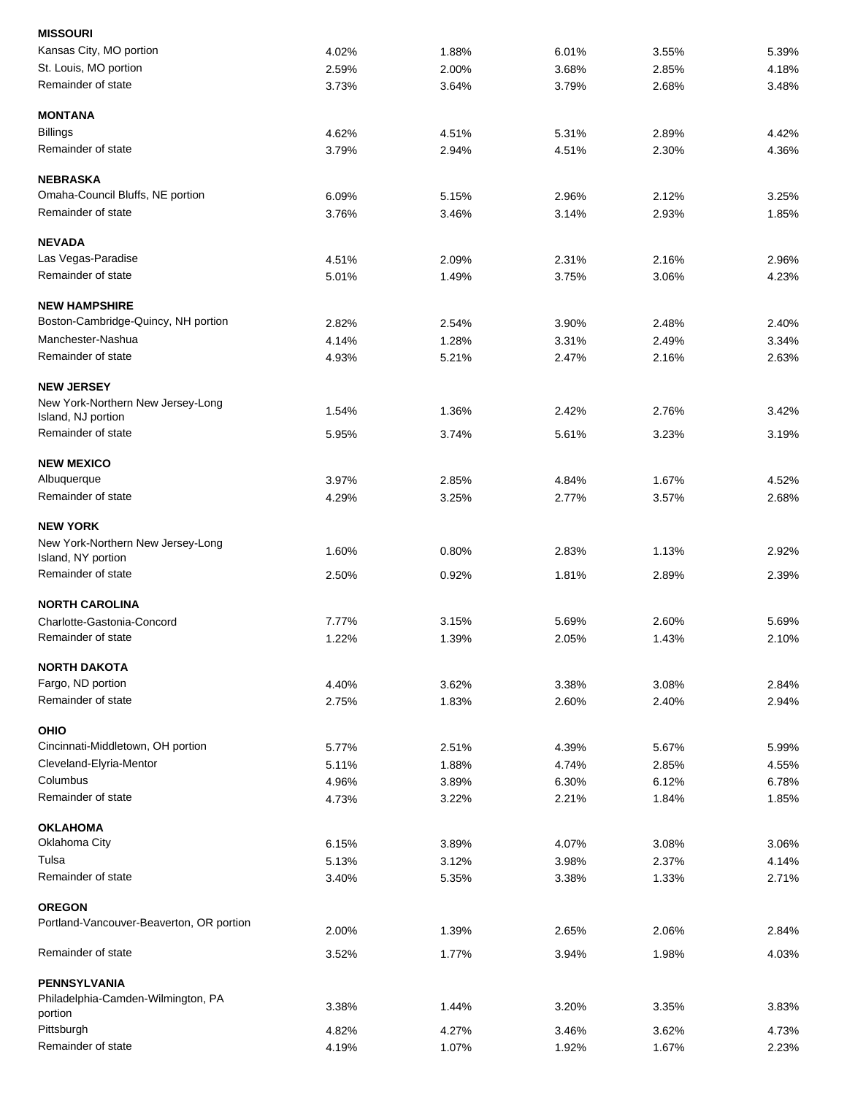| <b>MISSOURI</b>                               |       |       |       |       |       |
|-----------------------------------------------|-------|-------|-------|-------|-------|
| Kansas City, MO portion                       | 4.02% | 1.88% | 6.01% | 3.55% | 5.39% |
| St. Louis, MO portion                         | 2.59% | 2.00% | 3.68% | 2.85% | 4.18% |
| Remainder of state                            | 3.73% | 3.64% | 3.79% | 2.68% | 3.48% |
| <b>MONTANA</b>                                |       |       |       |       |       |
| <b>Billings</b>                               | 4.62% | 4.51% | 5.31% | 2.89% | 4.42% |
| Remainder of state                            | 3.79% | 2.94% | 4.51% | 2.30% | 4.36% |
| <b>NEBRASKA</b>                               |       |       |       |       |       |
| Omaha-Council Bluffs, NE portion              | 6.09% | 5.15% | 2.96% | 2.12% | 3.25% |
| Remainder of state                            | 3.76% | 3.46% | 3.14% | 2.93% | 1.85% |
| <b>NEVADA</b>                                 |       |       |       |       |       |
| Las Vegas-Paradise                            | 4.51% | 2.09% | 2.31% | 2.16% | 2.96% |
| Remainder of state                            | 5.01% | 1.49% | 3.75% | 3.06% | 4.23% |
| <b>NEW HAMPSHIRE</b>                          |       |       |       |       |       |
| Boston-Cambridge-Quincy, NH portion           | 2.82% | 2.54% | 3.90% | 2.48% | 2.40% |
| Manchester-Nashua                             |       |       |       |       |       |
| Remainder of state                            | 4.14% | 1.28% | 3.31% | 2.49% | 3.34% |
|                                               | 4.93% | 5.21% | 2.47% | 2.16% | 2.63% |
| <b>NEW JERSEY</b>                             |       |       |       |       |       |
| New York-Northern New Jersey-Long             | 1.54% | 1.36% | 2.42% | 2.76% | 3.42% |
| Island, NJ portion                            |       |       |       |       |       |
| Remainder of state                            | 5.95% | 3.74% | 5.61% | 3.23% | 3.19% |
| <b>NEW MEXICO</b>                             |       |       |       |       |       |
| Albuquerque                                   | 3.97% | 2.85% | 4.84% | 1.67% | 4.52% |
| Remainder of state                            | 4.29% | 3.25% | 2.77% | 3.57% | 2.68% |
| <b>NEW YORK</b>                               |       |       |       |       |       |
| New York-Northern New Jersey-Long             |       |       |       |       |       |
| Island, NY portion                            | 1.60% | 0.80% | 2.83% | 1.13% | 2.92% |
| Remainder of state                            | 2.50% | 0.92% | 1.81% | 2.89% | 2.39% |
| <b>NORTH CAROLINA</b>                         |       |       |       |       |       |
| Charlotte-Gastonia-Concord                    | 7.77% | 3.15% | 5.69% | 2.60% | 5.69% |
| Remainder of state                            | 1.22% | 1.39% | 2.05% | 1.43% | 2.10% |
| <b>NORTH DAKOTA</b>                           |       |       |       |       |       |
| Fargo, ND portion                             | 4.40% | 3.62% | 3.38% | 3.08% | 2.84% |
| Remainder of state                            | 2.75% | 1.83% | 2.60% | 2.40% | 2.94% |
| OHIO                                          |       |       |       |       |       |
| Cincinnati-Middletown, OH portion             | 5.77% | 2.51% | 4.39% | 5.67% | 5.99% |
| Cleveland-Elyria-Mentor                       | 5.11% | 1.88% | 4.74% | 2.85% | 4.55% |
| Columbus                                      | 4.96% | 3.89% | 6.30% | 6.12% | 6.78% |
| Remainder of state                            | 4.73% | 3.22% | 2.21% | 1.84% | 1.85% |
| <b>OKLAHOMA</b>                               |       |       |       |       |       |
| Oklahoma City                                 | 6.15% | 3.89% | 4.07% | 3.08% | 3.06% |
| Tulsa                                         | 5.13% | 3.12% | 3.98% | 2.37% | 4.14% |
| Remainder of state                            | 3.40% | 5.35% | 3.38% | 1.33% | 2.71% |
| <b>OREGON</b>                                 |       |       |       |       |       |
| Portland-Vancouver-Beaverton, OR portion      |       |       |       | 2.06% |       |
|                                               | 2.00% | 1.39% | 2.65% |       | 2.84% |
| Remainder of state                            | 3.52% | 1.77% | 3.94% | 1.98% | 4.03% |
| <b>PENNSYLVANIA</b>                           |       |       |       |       |       |
| Philadelphia-Camden-Wilmington, PA<br>portion | 3.38% | 1.44% | 3.20% | 3.35% | 3.83% |
| Pittsburgh                                    | 4.82% | 4.27% | 3.46% | 3.62% | 4.73% |
| Remainder of state                            | 4.19% | 1.07% | 1.92% | 1.67% | 2.23% |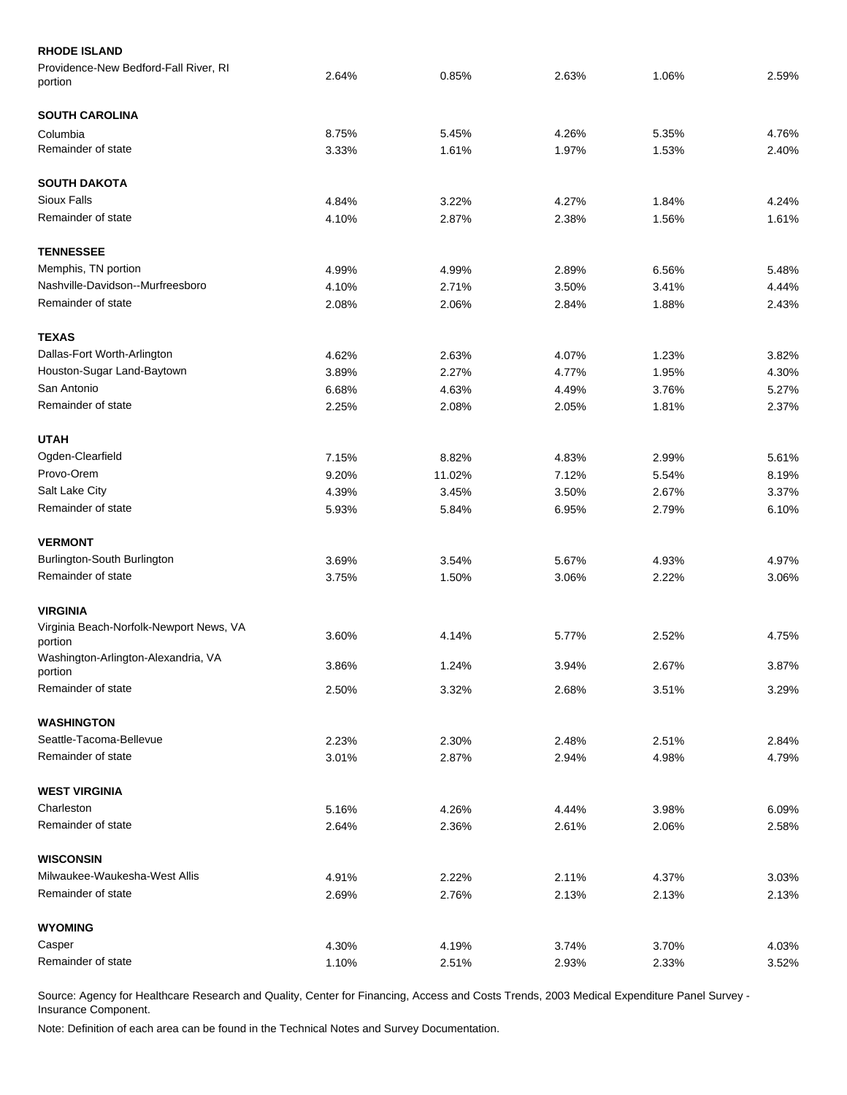| <b>RHODE ISLAND</b>                                |       |        |       |       |       |
|----------------------------------------------------|-------|--------|-------|-------|-------|
| Providence-New Bedford-Fall River, RI<br>portion   | 2.64% | 0.85%  | 2.63% | 1.06% | 2.59% |
| <b>SOUTH CAROLINA</b>                              |       |        |       |       |       |
| Columbia                                           | 8.75% | 5.45%  | 4.26% | 5.35% | 4.76% |
| Remainder of state                                 | 3.33% | 1.61%  | 1.97% | 1.53% | 2.40% |
| <b>SOUTH DAKOTA</b>                                |       |        |       |       |       |
| <b>Sioux Falls</b>                                 | 4.84% | 3.22%  | 4.27% | 1.84% | 4.24% |
| Remainder of state                                 | 4.10% | 2.87%  | 2.38% | 1.56% | 1.61% |
| <b>TENNESSEE</b>                                   |       |        |       |       |       |
| Memphis, TN portion                                | 4.99% | 4.99%  | 2.89% | 6.56% | 5.48% |
| Nashville-Davidson--Murfreesboro                   | 4.10% | 2.71%  | 3.50% | 3.41% | 4.44% |
| Remainder of state                                 | 2.08% | 2.06%  | 2.84% | 1.88% | 2.43% |
| <b>TEXAS</b>                                       |       |        |       |       |       |
| Dallas-Fort Worth-Arlington                        | 4.62% | 2.63%  | 4.07% | 1.23% | 3.82% |
| Houston-Sugar Land-Baytown                         | 3.89% | 2.27%  | 4.77% | 1.95% | 4.30% |
| San Antonio                                        | 6.68% | 4.63%  | 4.49% | 3.76% | 5.27% |
| Remainder of state                                 | 2.25% | 2.08%  | 2.05% | 1.81% | 2.37% |
| <b>UTAH</b>                                        |       |        |       |       |       |
| Ogden-Clearfield                                   | 7.15% | 8.82%  | 4.83% | 2.99% | 5.61% |
| Provo-Orem                                         | 9.20% | 11.02% | 7.12% | 5.54% | 8.19% |
| Salt Lake City                                     | 4.39% | 3.45%  | 3.50% | 2.67% | 3.37% |
| Remainder of state                                 | 5.93% | 5.84%  | 6.95% | 2.79% | 6.10% |
| <b>VERMONT</b>                                     |       |        |       |       |       |
| Burlington-South Burlington                        | 3.69% | 3.54%  | 5.67% | 4.93% | 4.97% |
| Remainder of state                                 | 3.75% | 1.50%  | 3.06% | 2.22% | 3.06% |
| <b>VIRGINIA</b>                                    |       |        |       |       |       |
| Virginia Beach-Norfolk-Newport News, VA<br>portion | 3.60% | 4.14%  | 5.77% | 2.52% | 4.75% |
| Washington-Arlington-Alexandria, VA                |       |        |       |       |       |
| portion                                            | 3.86% | 1.24%  | 3.94% | 2.67% | 3.87% |
| Remainder of state                                 | 2.50% | 3.32%  | 2.68% | 3.51% | 3.29% |
| <b>WASHINGTON</b>                                  |       |        |       |       |       |
| Seattle-Tacoma-Bellevue                            | 2.23% | 2.30%  | 2.48% | 2.51% | 2.84% |
| Remainder of state                                 | 3.01% | 2.87%  | 2.94% | 4.98% | 4.79% |
| <b>WEST VIRGINIA</b>                               |       |        |       |       |       |
| Charleston                                         | 5.16% | 4.26%  | 4.44% | 3.98% | 6.09% |
| Remainder of state                                 | 2.64% | 2.36%  | 2.61% | 2.06% | 2.58% |
| <b>WISCONSIN</b>                                   |       |        |       |       |       |
| Milwaukee-Waukesha-West Allis                      | 4.91% | 2.22%  | 2.11% | 4.37% | 3.03% |
| Remainder of state                                 | 2.69% | 2.76%  | 2.13% | 2.13% | 2.13% |
| <b>WYOMING</b>                                     |       |        |       |       |       |
| Casper                                             | 4.30% | 4.19%  | 3.74% | 3.70% | 4.03% |
| Remainder of state                                 | 1.10% | 2.51%  | 2.93% | 2.33% | 3.52% |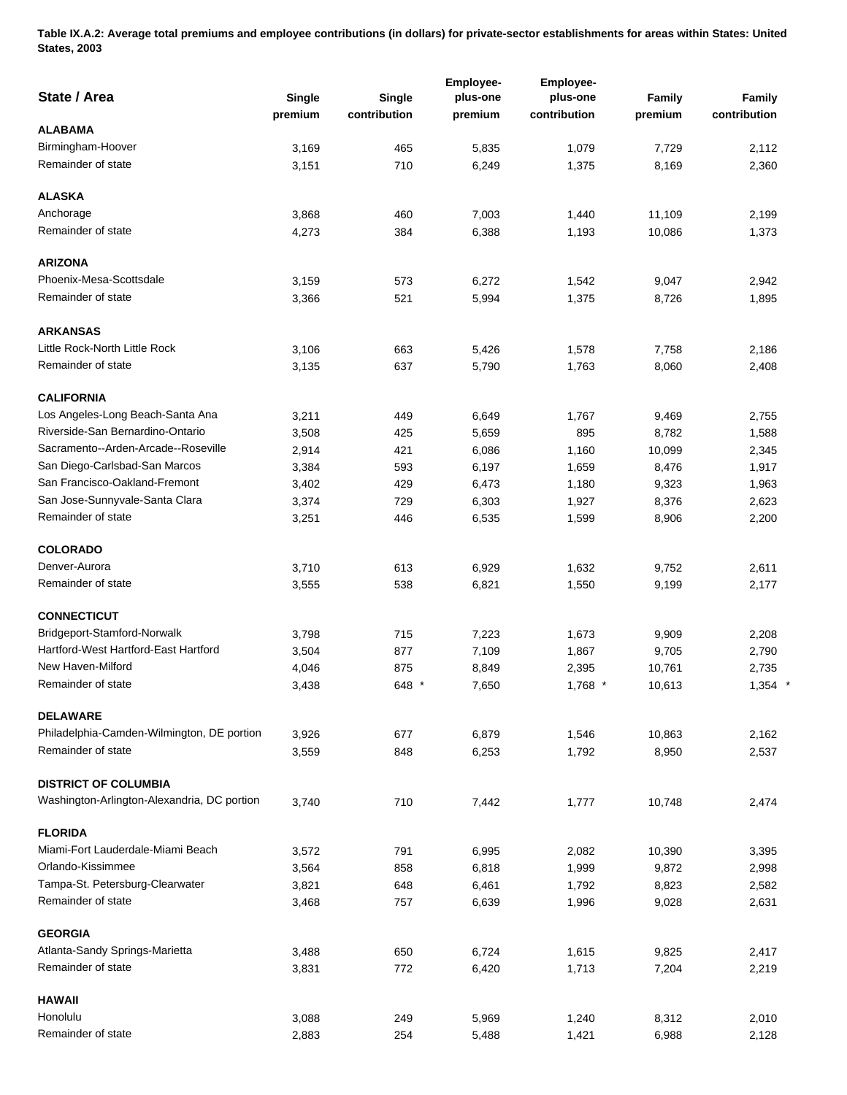**Table IX.A.2: Average total premiums and employee contributions (in dollars) for private-sector establishments for areas within States: United States, 2003** 

| State / Area                                | <b>Single</b><br>premium | Single<br>contribution | Employee-<br>plus-one<br>premium | Employee-<br>plus-one<br>contribution | Family<br>premium | Family<br>contribution |
|---------------------------------------------|--------------------------|------------------------|----------------------------------|---------------------------------------|-------------------|------------------------|
| <b>ALABAMA</b>                              |                          |                        |                                  |                                       |                   |                        |
| Birmingham-Hoover                           | 3,169                    | 465                    | 5,835                            | 1,079                                 | 7,729             | 2,112                  |
| Remainder of state                          | 3,151                    | 710                    | 6,249                            | 1,375                                 | 8,169             | 2,360                  |
| <b>ALASKA</b>                               |                          |                        |                                  |                                       |                   |                        |
| Anchorage                                   | 3,868                    | 460                    | 7,003                            | 1,440                                 | 11,109            | 2,199                  |
| Remainder of state                          | 4,273                    | 384                    | 6,388                            | 1,193                                 | 10,086            | 1,373                  |
| <b>ARIZONA</b>                              |                          |                        |                                  |                                       |                   |                        |
| Phoenix-Mesa-Scottsdale                     | 3,159                    | 573                    | 6,272                            | 1,542                                 | 9,047             | 2,942                  |
| Remainder of state                          | 3,366                    | 521                    | 5,994                            | 1,375                                 | 8,726             | 1,895                  |
| <b>ARKANSAS</b>                             |                          |                        |                                  |                                       |                   |                        |
| Little Rock-North Little Rock               | 3,106                    | 663                    | 5,426                            | 1,578                                 | 7,758             | 2,186                  |
| Remainder of state                          | 3,135                    | 637                    | 5,790                            | 1,763                                 | 8,060             | 2,408                  |
| <b>CALIFORNIA</b>                           |                          |                        |                                  |                                       |                   |                        |
| Los Angeles-Long Beach-Santa Ana            | 3,211                    | 449                    | 6,649                            | 1,767                                 | 9,469             | 2,755                  |
| Riverside-San Bernardino-Ontario            | 3,508                    | 425                    | 5,659                            | 895                                   | 8,782             | 1,588                  |
| Sacramento--Arden-Arcade--Roseville         | 2,914                    | 421                    | 6,086                            | 1,160                                 | 10,099            | 2,345                  |
| San Diego-Carlsbad-San Marcos               | 3,384                    | 593                    | 6,197                            | 1,659                                 | 8,476             | 1,917                  |
| San Francisco-Oakland-Fremont               | 3,402                    | 429                    | 6,473                            | 1,180                                 | 9,323             | 1,963                  |
| San Jose-Sunnyvale-Santa Clara              | 3,374                    | 729                    | 6,303                            | 1,927                                 | 8,376             | 2,623                  |
| Remainder of state                          | 3,251                    | 446                    | 6,535                            | 1,599                                 | 8,906             | 2,200                  |
| <b>COLORADO</b>                             |                          |                        |                                  |                                       |                   |                        |
| Denver-Aurora                               | 3,710                    | 613                    | 6,929                            | 1,632                                 | 9,752             | 2,611                  |
| Remainder of state                          | 3,555                    | 538                    | 6,821                            | 1,550                                 | 9,199             | 2,177                  |
| <b>CONNECTICUT</b>                          |                          |                        |                                  |                                       |                   |                        |
| Bridgeport-Stamford-Norwalk                 | 3,798                    | 715                    | 7,223                            | 1,673                                 | 9,909             | 2,208                  |
| Hartford-West Hartford-East Hartford        | 3,504                    | 877                    | 7,109                            | 1,867                                 | 9,705             | 2,790                  |
| New Haven-Milford                           | 4,046                    | 875                    | 8,849                            | 2,395                                 | 10,761            | 2,735                  |
| Remainder of state                          | 3,438                    | 648 *                  | 7,650                            | $1,768$ *                             | 10,613            | $1,354$ *              |
| <b>DELAWARE</b>                             |                          |                        |                                  |                                       |                   |                        |
| Philadelphia-Camden-Wilmington, DE portion  | 3,926                    | 677                    | 6,879                            | 1,546                                 | 10,863            | 2.162                  |
| Remainder of state                          | 3,559                    | 848                    | 6,253                            | 1,792                                 | 8,950             | 2,537                  |
| <b>DISTRICT OF COLUMBIA</b>                 |                          |                        |                                  |                                       |                   |                        |
| Washington-Arlington-Alexandria, DC portion | 3,740                    | 710                    | 7,442                            | 1,777                                 | 10,748            | 2,474                  |
| <b>FLORIDA</b>                              |                          |                        |                                  |                                       |                   |                        |
| Miami-Fort Lauderdale-Miami Beach           | 3,572                    | 791                    | 6,995                            | 2,082                                 | 10,390            | 3,395                  |
| Orlando-Kissimmee                           | 3,564                    | 858                    | 6,818                            | 1,999                                 | 9,872             | 2,998                  |
| Tampa-St. Petersburg-Clearwater             | 3,821                    | 648                    | 6,461                            | 1,792                                 | 8,823             | 2,582                  |
| Remainder of state                          | 3,468                    | 757                    | 6,639                            | 1,996                                 | 9,028             | 2,631                  |
| <b>GEORGIA</b>                              |                          |                        |                                  |                                       |                   |                        |
| Atlanta-Sandy Springs-Marietta              | 3,488                    | 650                    | 6,724                            | 1,615                                 | 9,825             | 2,417                  |
| Remainder of state                          | 3,831                    | 772                    | 6,420                            | 1,713                                 | 7,204             | 2,219                  |
| <b>HAWAII</b>                               |                          |                        |                                  |                                       |                   |                        |
| Honolulu                                    | 3,088                    | 249                    | 5,969                            | 1,240                                 | 8,312             | 2,010                  |
| Remainder of state                          | 2,883                    | 254                    | 5,488                            | 1,421                                 | 6,988             | 2,128                  |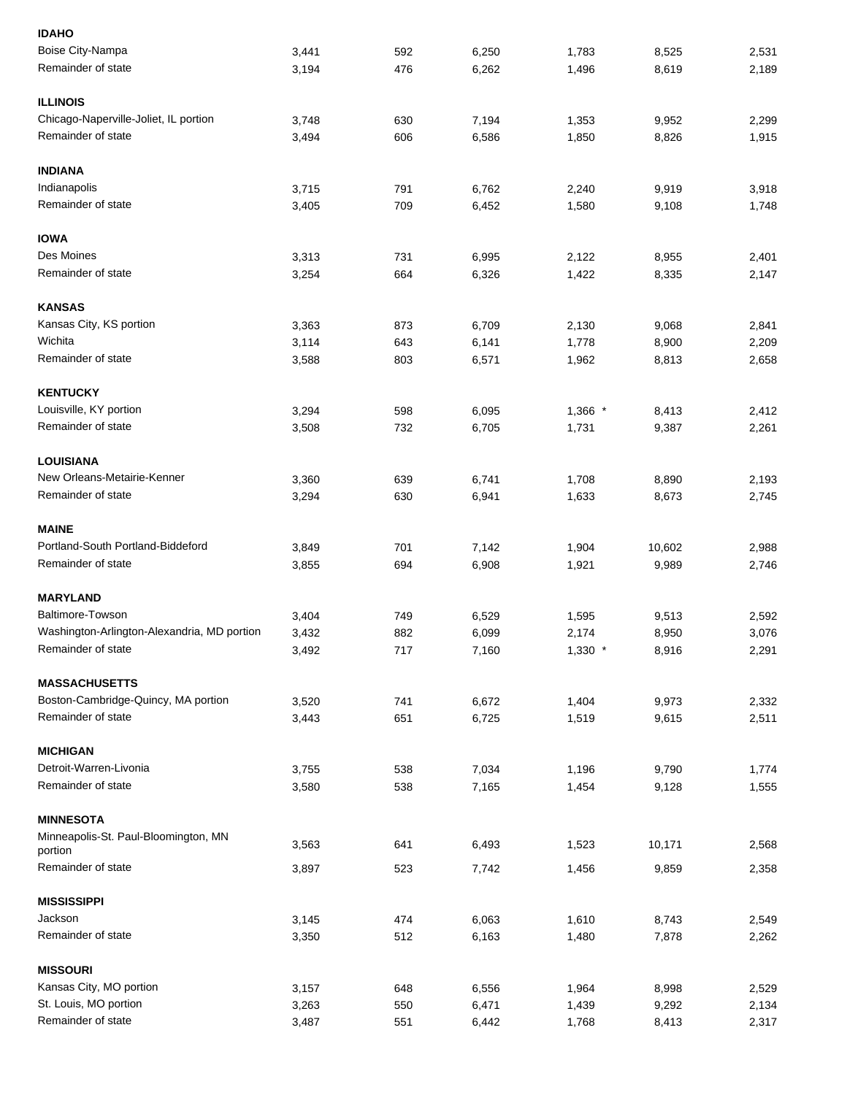| <b>IDAHO</b>                                |                |     |                |                |                 |                |
|---------------------------------------------|----------------|-----|----------------|----------------|-----------------|----------------|
| Boise City-Nampa                            | 3,441          | 592 | 6,250          | 1,783          | 8,525           | 2,531          |
| Remainder of state                          | 3,194          | 476 | 6,262          | 1,496          | 8,619           | 2,189          |
| <b>ILLINOIS</b>                             |                |     |                |                |                 |                |
| Chicago-Naperville-Joliet, IL portion       | 3,748          | 630 | 7,194          | 1,353          | 9,952           | 2,299          |
| Remainder of state                          | 3,494          | 606 | 6,586          | 1,850          | 8,826           | 1,915          |
| <b>INDIANA</b>                              |                |     |                |                |                 |                |
| Indianapolis                                | 3,715          | 791 | 6,762          | 2,240          | 9,919           | 3,918          |
| Remainder of state                          | 3,405          | 709 | 6,452          | 1,580          | 9,108           | 1,748          |
| <b>IOWA</b>                                 |                |     |                |                |                 |                |
| Des Moines                                  | 3,313          | 731 | 6,995          | 2,122          | 8,955           | 2,401          |
| Remainder of state                          | 3,254          | 664 | 6,326          | 1,422          | 8,335           | 2,147          |
| <b>KANSAS</b>                               |                |     |                |                |                 |                |
| Kansas City, KS portion                     | 3,363          | 873 | 6,709          | 2,130          | 9,068           | 2,841          |
| Wichita                                     | 3,114          | 643 | 6,141          | 1,778          | 8,900           | 2,209          |
| Remainder of state                          | 3,588          | 803 | 6,571          | 1,962          | 8,813           | 2,658          |
| <b>KENTUCKY</b>                             |                |     |                |                |                 |                |
| Louisville, KY portion                      | 3,294          | 598 | 6,095          | $1,366$ *      | 8,413           | 2,412          |
| Remainder of state                          | 3,508          | 732 | 6,705          | 1,731          | 9,387           | 2,261          |
| <b>LOUISIANA</b>                            |                |     |                |                |                 |                |
| New Orleans-Metairie-Kenner                 | 3,360          | 639 | 6,741          | 1,708          | 8,890           | 2,193          |
| Remainder of state                          | 3,294          | 630 | 6,941          | 1,633          | 8,673           | 2,745          |
| <b>MAINE</b>                                |                |     |                |                |                 |                |
| Portland-South Portland-Biddeford           | 3,849          | 701 | 7,142          | 1,904          | 10,602          | 2,988          |
| Remainder of state                          | 3,855          | 694 | 6,908          | 1,921          | 9,989           | 2,746          |
| <b>MARYLAND</b>                             |                |     |                |                |                 |                |
| Baltimore-Towson                            | 3,404          | 749 | 6,529          | 1,595          | 9,513           | 2,592          |
| Washington-Arlington-Alexandria, MD portion | 3,432          | 882 | 6,099          | 2,174          | 8,950           | 3,076          |
| Remainder of state                          | 3,492          | 717 | 7,160          | $1,330$ *      | 8,916           | 2,291          |
| <b>MASSACHUSETTS</b>                        |                |     |                |                |                 |                |
| Boston-Cambridge-Quincy, MA portion         | 3,520          | 741 | 6,672          | 1,404          | 9,973           | 2,332          |
| Remainder of state                          | 3,443          | 651 | 6,725          | 1,519          | 9,615           | 2,511          |
| <b>MICHIGAN</b>                             |                |     |                |                |                 |                |
| Detroit-Warren-Livonia                      | 3,755          | 538 | 7,034          | 1,196          | 9,790           | 1,774          |
| Remainder of state                          | 3,580          | 538 | 7,165          | 1,454          | 9,128           | 1,555          |
| <b>MINNESOTA</b>                            |                |     |                |                |                 |                |
| Minneapolis-St. Paul-Bloomington, MN        |                | 641 |                |                |                 |                |
| portion<br>Remainder of state               | 3,563<br>3,897 | 523 | 6,493<br>7,742 | 1,523<br>1,456 | 10,171<br>9,859 | 2,568<br>2,358 |
|                                             |                |     |                |                |                 |                |
| <b>MISSISSIPPI</b>                          |                |     |                |                |                 |                |
| Jackson                                     | 3,145          | 474 | 6,063          | 1,610          | 8,743           | 2,549          |
| Remainder of state                          | 3,350          | 512 | 6,163          | 1,480          | 7,878           | 2,262          |
| <b>MISSOURI</b>                             |                |     |                |                |                 |                |
| Kansas City, MO portion                     | 3,157          | 648 | 6,556          | 1,964          | 8,998           | 2,529          |
| St. Louis, MO portion                       | 3,263          | 550 | 6,471          | 1,439          | 9,292           | 2,134          |
| Remainder of state                          | 3,487          | 551 | 6,442          | 1,768          | 8,413           | 2,317          |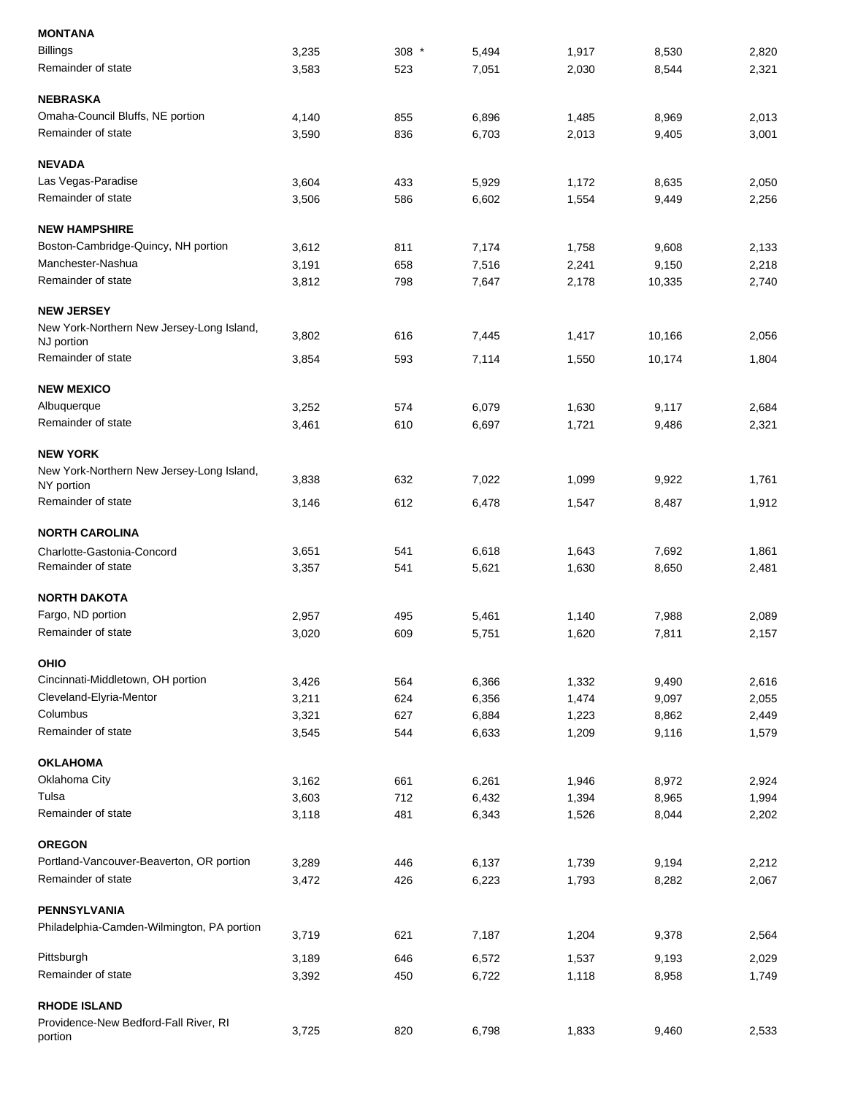| <b>MONTANA</b>                                                 |                |            |                |                |                |                |
|----------------------------------------------------------------|----------------|------------|----------------|----------------|----------------|----------------|
| <b>Billings</b>                                                | 3,235          | 308 *      | 5,494          | 1,917          | 8,530          | 2,820          |
| Remainder of state                                             | 3,583          | 523        | 7,051          | 2,030          | 8,544          | 2,321          |
| <b>NEBRASKA</b>                                                |                |            |                |                |                |                |
| Omaha-Council Bluffs, NE portion                               | 4,140          | 855        | 6,896          | 1,485          | 8,969          | 2,013          |
| Remainder of state                                             | 3,590          | 836        | 6,703          | 2,013          | 9,405          | 3,001          |
| <b>NEVADA</b>                                                  |                |            |                |                |                |                |
| Las Vegas-Paradise                                             | 3,604          | 433        | 5,929          | 1,172          | 8,635          | 2,050          |
| Remainder of state                                             | 3,506          | 586        | 6,602          | 1,554          | 9,449          | 2,256          |
| <b>NEW HAMPSHIRE</b>                                           |                |            |                |                |                |                |
| Boston-Cambridge-Quincy, NH portion                            | 3,612          | 811        | 7,174          | 1,758          | 9,608          | 2,133          |
| Manchester-Nashua                                              | 3,191          | 658        | 7,516          | 2,241          | 9,150          | 2,218          |
| Remainder of state                                             | 3,812          | 798        | 7,647          | 2,178          | 10,335         | 2,740          |
| <b>NEW JERSEY</b>                                              |                |            |                |                |                |                |
| New York-Northern New Jersey-Long Island,                      |                |            |                |                |                |                |
| NJ portion                                                     | 3,802          | 616        | 7,445          | 1,417          | 10,166         | 2,056          |
| Remainder of state                                             | 3,854          | 593        | 7,114          | 1,550          | 10,174         | 1,804          |
| <b>NEW MEXICO</b>                                              |                |            |                |                |                |                |
| Albuquerque                                                    | 3,252          | 574        | 6,079          | 1,630          | 9,117          | 2,684          |
| Remainder of state                                             | 3,461          | 610        | 6,697          | 1,721          | 9,486          | 2,321          |
| <b>NEW YORK</b>                                                |                |            |                |                |                |                |
| New York-Northern New Jersey-Long Island,<br>NY portion        | 3,838          | 632        | 7,022          | 1,099          | 9,922          | 1,761          |
| Remainder of state                                             | 3,146          | 612        | 6,478          | 1,547          | 8,487          | 1,912          |
| <b>NORTH CAROLINA</b>                                          |                |            |                |                |                |                |
| Charlotte-Gastonia-Concord                                     | 3,651          | 541        | 6,618          | 1,643          | 7,692          | 1,861          |
| Remainder of state                                             | 3,357          | 541        | 5,621          | 1,630          | 8,650          | 2,481          |
| <b>NORTH DAKOTA</b>                                            |                |            |                |                |                |                |
| Fargo, ND portion                                              | 2,957          | 495        | 5,461          | 1,140          | 7,988          | 2,089          |
| Remainder of state                                             | 3,020          | 609        | 5,751          | 1,620          | 7,811          | 2,157          |
| OHIO                                                           |                |            |                |                |                |                |
| Cincinnati-Middletown, OH portion                              | 3,426          | 564        | 6,366          | 1,332          | 9,490          | 2,616          |
| Cleveland-Elyria-Mentor                                        | 3,211          | 624        | 6,356          | 1,474          | 9,097          | 2,055          |
| Columbus                                                       | 3,321          | 627        | 6,884          | 1,223          | 8,862          | 2,449          |
| Remainder of state                                             | 3,545          | 544        | 6,633          | 1,209          | 9,116          | 1,579          |
| <b>OKLAHOMA</b>                                                |                |            |                |                |                |                |
| Oklahoma City                                                  | 3,162          | 661        |                | 1,946          |                | 2,924          |
| Tulsa                                                          |                |            | 6,261          |                | 8,972          |                |
| Remainder of state                                             | 3,603<br>3,118 | 712<br>481 | 6,432<br>6,343 | 1,394<br>1,526 | 8,965<br>8,044 | 1,994<br>2,202 |
| <b>OREGON</b>                                                  |                |            |                |                |                |                |
|                                                                |                |            |                |                |                |                |
| Portland-Vancouver-Beaverton, OR portion<br>Remainder of state | 3,289<br>3,472 | 446<br>426 | 6,137<br>6,223 | 1,739<br>1,793 | 9,194<br>8,282 | 2,212<br>2,067 |
|                                                                |                |            |                |                |                |                |
| PENNSYLVANIA                                                   |                |            |                |                |                |                |
| Philadelphia-Camden-Wilmington, PA portion                     | 3,719          | 621        | 7,187          | 1,204          | 9,378          | 2,564          |
| Pittsburgh                                                     | 3,189          | 646        | 6,572          | 1,537          | 9,193          | 2,029          |
| Remainder of state                                             | 3,392          | 450        | 6,722          | 1,118          | 8,958          | 1,749          |
| <b>RHODE ISLAND</b>                                            |                |            |                |                |                |                |
| Providence-New Bedford-Fall River, RI<br>portion               | 3,725          | 820        | 6,798          | 1,833          | 9,460          | 2,533          |
|                                                                |                |            |                |                |                |                |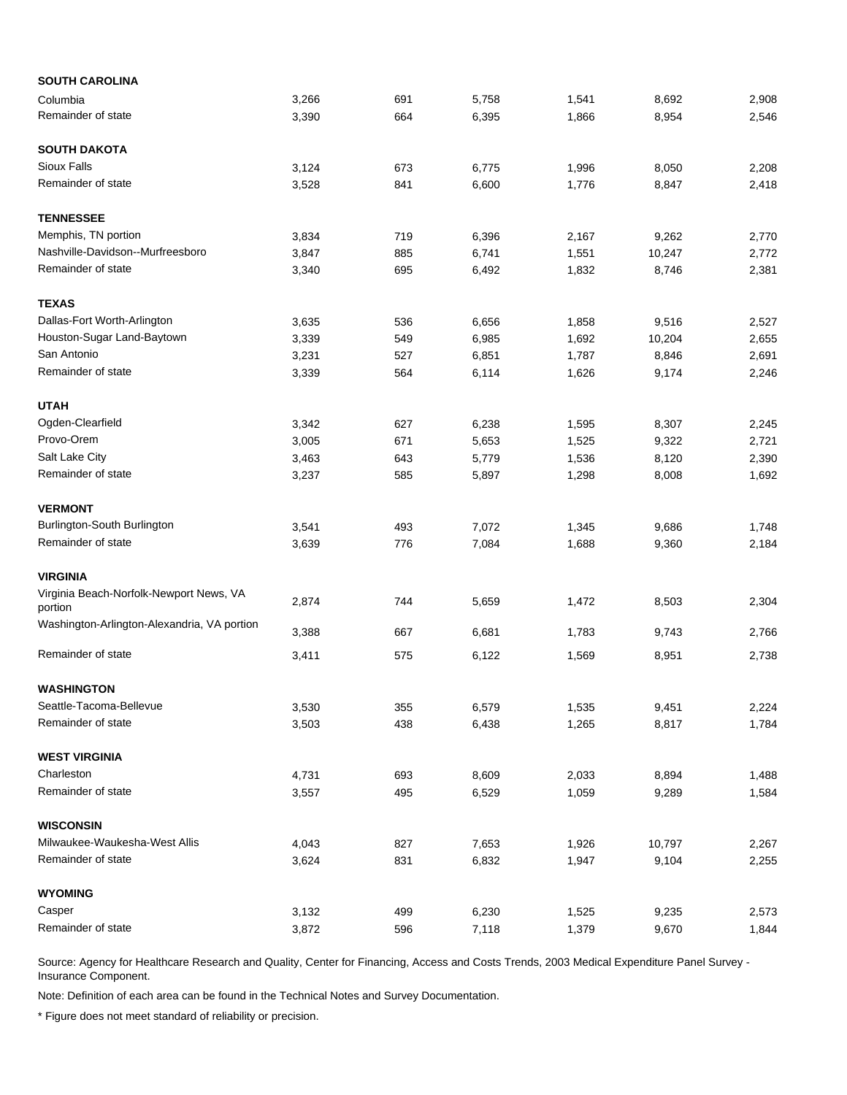| <b>SOUTH CAROLINA</b>                              |       |     |       |       |        |       |
|----------------------------------------------------|-------|-----|-------|-------|--------|-------|
| Columbia                                           | 3,266 | 691 | 5,758 | 1,541 | 8,692  | 2,908 |
| Remainder of state                                 | 3,390 | 664 | 6,395 | 1,866 | 8,954  | 2,546 |
| <b>SOUTH DAKOTA</b>                                |       |     |       |       |        |       |
| <b>Sioux Falls</b>                                 | 3,124 | 673 | 6,775 | 1,996 | 8,050  | 2,208 |
| Remainder of state                                 | 3,528 | 841 | 6,600 | 1,776 | 8,847  | 2,418 |
| <b>TENNESSEE</b>                                   |       |     |       |       |        |       |
| Memphis, TN portion                                | 3,834 | 719 | 6,396 | 2,167 | 9,262  | 2,770 |
| Nashville-Davidson--Murfreesboro                   | 3,847 | 885 | 6,741 | 1,551 | 10,247 | 2,772 |
| Remainder of state                                 | 3,340 | 695 | 6,492 | 1,832 | 8,746  | 2,381 |
| <b>TEXAS</b>                                       |       |     |       |       |        |       |
| Dallas-Fort Worth-Arlington                        | 3,635 | 536 | 6,656 | 1,858 | 9,516  | 2,527 |
| Houston-Sugar Land-Baytown                         | 3,339 | 549 | 6,985 | 1,692 | 10,204 | 2,655 |
| San Antonio                                        | 3,231 | 527 | 6,851 | 1,787 | 8,846  | 2,691 |
| Remainder of state                                 | 3,339 | 564 | 6,114 | 1,626 | 9,174  | 2,246 |
| <b>UTAH</b>                                        |       |     |       |       |        |       |
| Ogden-Clearfield                                   | 3,342 | 627 | 6,238 | 1,595 | 8,307  | 2,245 |
| Provo-Orem                                         | 3,005 | 671 | 5,653 | 1,525 | 9,322  | 2,721 |
| Salt Lake City                                     | 3,463 | 643 | 5,779 | 1,536 | 8,120  | 2,390 |
| Remainder of state                                 | 3,237 | 585 | 5,897 | 1,298 | 8,008  | 1,692 |
| <b>VERMONT</b>                                     |       |     |       |       |        |       |
| Burlington-South Burlington                        | 3,541 | 493 | 7,072 | 1,345 | 9,686  | 1,748 |
| Remainder of state                                 | 3,639 | 776 | 7,084 | 1,688 | 9,360  | 2,184 |
| <b>VIRGINIA</b>                                    |       |     |       |       |        |       |
| Virginia Beach-Norfolk-Newport News, VA<br>portion | 2,874 | 744 | 5,659 | 1,472 | 8,503  | 2,304 |
| Washington-Arlington-Alexandria, VA portion        | 3,388 | 667 | 6,681 | 1,783 | 9,743  | 2,766 |
| Remainder of state                                 | 3,411 | 575 | 6,122 | 1,569 | 8,951  | 2,738 |
| <b>WASHINGTON</b>                                  |       |     |       |       |        |       |
| Seattle-Tacoma-Bellevue                            | 3,530 | 355 | 6,579 | 1,535 | 9,451  | 2,224 |
| Remainder of state                                 | 3,503 | 438 | 6,438 | 1,265 | 8,817  | 1,784 |
| <b>WEST VIRGINIA</b>                               |       |     |       |       |        |       |
| Charleston                                         | 4,731 | 693 | 8,609 | 2,033 | 8,894  | 1,488 |
| Remainder of state                                 | 3,557 | 495 | 6,529 | 1,059 | 9,289  | 1,584 |
| <b>WISCONSIN</b>                                   |       |     |       |       |        |       |
| Milwaukee-Waukesha-West Allis                      | 4,043 | 827 | 7,653 | 1,926 | 10,797 | 2,267 |
| Remainder of state                                 | 3,624 | 831 | 6,832 | 1,947 | 9,104  | 2,255 |
| <b>WYOMING</b>                                     |       |     |       |       |        |       |
| Casper                                             | 3,132 | 499 | 6,230 | 1,525 | 9,235  | 2,573 |
| Remainder of state                                 | 3,872 | 596 | 7,118 | 1,379 | 9,670  | 1,844 |

Note: Definition of each area can be found in the Technical Notes and Survey Documentation.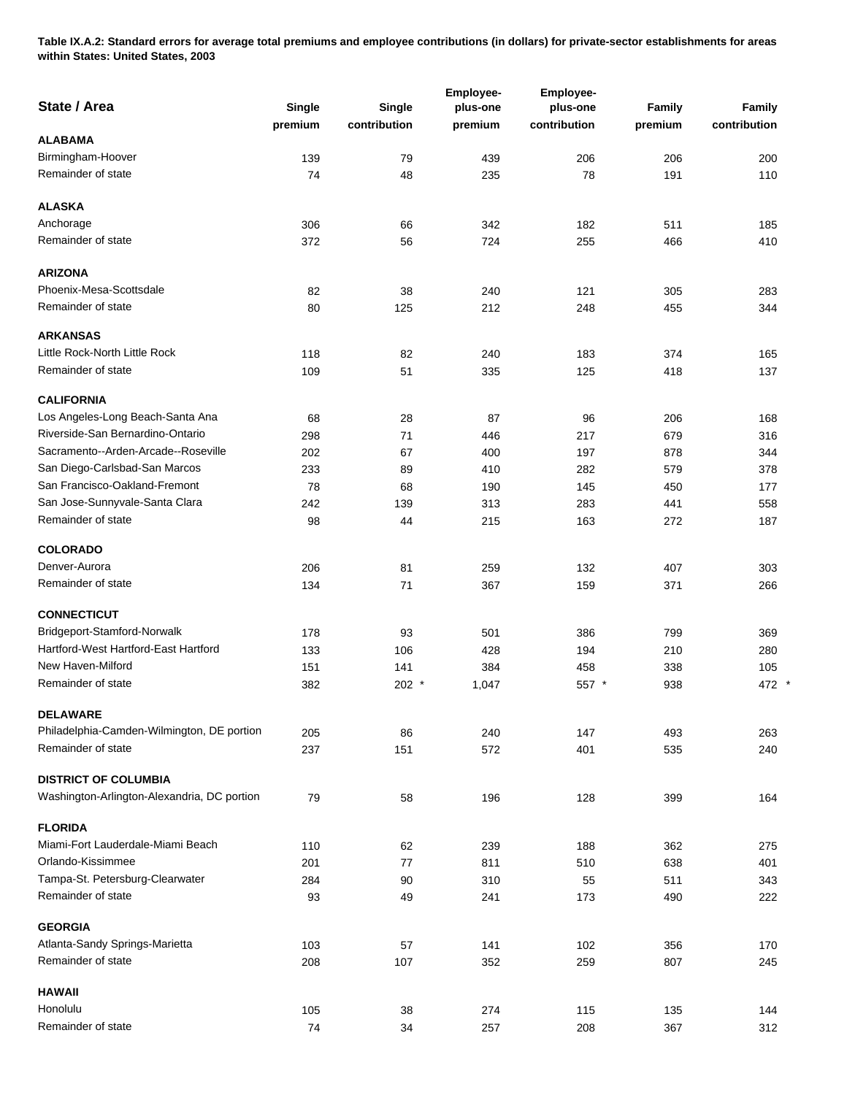**Table IX.A.2: Standard errors for average total premiums and employee contributions (in dollars) for private-sector establishments for areas within States: United States, 2003** 

| State / Area                                | Single<br>premium | Single<br>contribution | Employee-<br>plus-one<br>premium | Employee-<br>plus-one<br>contribution | Family<br>premium | Family<br>contribution |
|---------------------------------------------|-------------------|------------------------|----------------------------------|---------------------------------------|-------------------|------------------------|
| <b>ALABAMA</b>                              |                   |                        |                                  |                                       |                   |                        |
| Birmingham-Hoover                           | 139               | 79                     | 439                              | 206                                   | 206               | 200                    |
| Remainder of state                          | 74                | 48                     | 235                              | 78                                    | 191               | 110                    |
| <b>ALASKA</b>                               |                   |                        |                                  |                                       |                   |                        |
| Anchorage                                   | 306               | 66                     | 342                              | 182                                   | 511               | 185                    |
| Remainder of state                          | 372               | 56                     | 724                              | 255                                   | 466               | 410                    |
| <b>ARIZONA</b>                              |                   |                        |                                  |                                       |                   |                        |
| Phoenix-Mesa-Scottsdale                     | 82                | 38                     | 240                              | 121                                   | 305               | 283                    |
| Remainder of state                          | 80                | 125                    | 212                              | 248                                   | 455               | 344                    |
| <b>ARKANSAS</b>                             |                   |                        |                                  |                                       |                   |                        |
| Little Rock-North Little Rock               | 118               | 82                     | 240                              | 183                                   | 374               | 165                    |
| Remainder of state                          | 109               | 51                     | 335                              | 125                                   | 418               | 137                    |
| <b>CALIFORNIA</b>                           |                   |                        |                                  |                                       |                   |                        |
| Los Angeles-Long Beach-Santa Ana            | 68                | 28                     | 87                               | 96                                    | 206               | 168                    |
| Riverside-San Bernardino-Ontario            | 298               | 71                     | 446                              | 217                                   | 679               | 316                    |
| Sacramento--Arden-Arcade--Roseville         | 202               | 67                     | 400                              | 197                                   | 878               | 344                    |
| San Diego-Carlsbad-San Marcos               | 233               | 89                     | 410                              | 282                                   | 579               | 378                    |
| San Francisco-Oakland-Fremont               | 78                | 68                     | 190                              | 145                                   | 450               | 177                    |
| San Jose-Sunnyvale-Santa Clara              | 242               | 139                    | 313                              | 283                                   | 441               | 558                    |
| Remainder of state                          | 98                | 44                     | 215                              | 163                                   | 272               | 187                    |
| <b>COLORADO</b>                             |                   |                        |                                  |                                       |                   |                        |
| Denver-Aurora                               | 206               | 81                     | 259                              | 132                                   | 407               | 303                    |
| Remainder of state                          | 134               | 71                     | 367                              | 159                                   | 371               | 266                    |
| <b>CONNECTICUT</b>                          |                   |                        |                                  |                                       |                   |                        |
| Bridgeport-Stamford-Norwalk                 | 178               | 93                     | 501                              | 386                                   | 799               | 369                    |
| Hartford-West Hartford-East Hartford        | 133               | 106                    | 428                              | 194                                   | 210               | 280                    |
| New Haven-Milford                           | 151               | 141                    | 384                              | 458                                   | 338               | 105                    |
| Remainder of state                          | 382               | $202$ *                | 1,047                            | 557 *                                 | 938               | 472                    |
| <b>DELAWARE</b>                             |                   |                        |                                  |                                       |                   |                        |
| Philadelphia-Camden-Wilmington, DE portion  | 205               | 86                     | 240                              | 147                                   | 493               | 263                    |
| Remainder of state                          | 237               | 151                    | 572                              | 401                                   | 535               | 240                    |
| <b>DISTRICT OF COLUMBIA</b>                 |                   |                        |                                  |                                       |                   |                        |
| Washington-Arlington-Alexandria, DC portion | 79                | 58                     | 196                              | 128                                   | 399               | 164                    |
| <b>FLORIDA</b>                              |                   |                        |                                  |                                       |                   |                        |
| Miami-Fort Lauderdale-Miami Beach           | 110               | 62                     | 239                              | 188                                   | 362               | 275                    |
| Orlando-Kissimmee                           | 201               | 77                     | 811                              | 510                                   | 638               | 401                    |
| Tampa-St. Petersburg-Clearwater             | 284               | 90                     | 310                              | 55                                    | 511               | 343                    |
| Remainder of state                          | 93                | 49                     | 241                              | 173                                   | 490               | 222                    |
| <b>GEORGIA</b>                              |                   |                        |                                  |                                       |                   |                        |
| Atlanta-Sandy Springs-Marietta              | 103               | 57                     | 141                              | 102                                   | 356               | 170                    |
| Remainder of state                          | 208               | 107                    | 352                              | 259                                   | 807               | 245                    |
| <b>HAWAII</b>                               |                   |                        |                                  |                                       |                   |                        |
| Honolulu                                    | 105               | 38                     | 274                              | 115                                   | 135               | 144                    |
| Remainder of state                          | 74                | 34                     | 257                              | 208                                   | 367               | 312                    |

 $\star$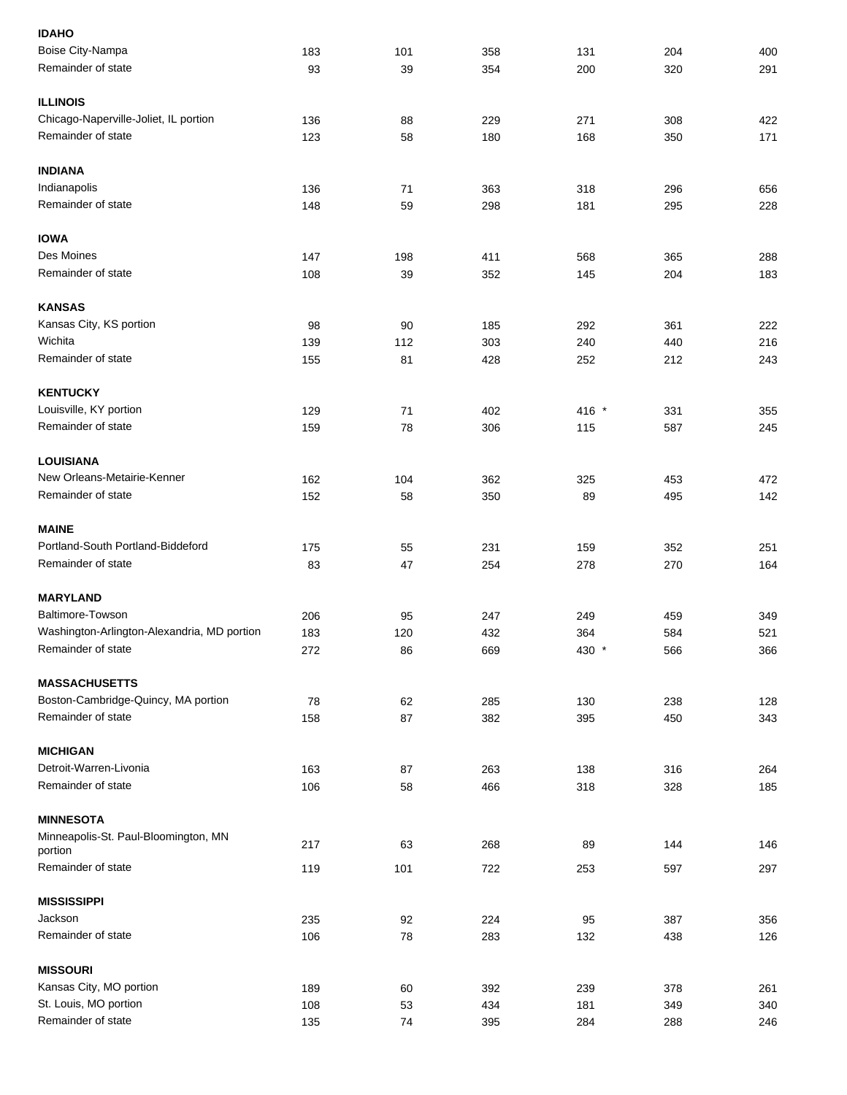| <b>IDAHO</b>                                |     |     |     |       |     |     |
|---------------------------------------------|-----|-----|-----|-------|-----|-----|
| Boise City-Nampa                            | 183 | 101 | 358 | 131   | 204 | 400 |
| Remainder of state                          | 93  | 39  | 354 | 200   | 320 | 291 |
| <b>ILLINOIS</b>                             |     |     |     |       |     |     |
| Chicago-Naperville-Joliet, IL portion       | 136 | 88  | 229 | 271   | 308 | 422 |
| Remainder of state                          | 123 | 58  | 180 | 168   | 350 | 171 |
| <b>INDIANA</b>                              |     |     |     |       |     |     |
| Indianapolis                                | 136 | 71  | 363 | 318   | 296 | 656 |
| Remainder of state                          | 148 | 59  | 298 | 181   | 295 | 228 |
| <b>IOWA</b>                                 |     |     |     |       |     |     |
| Des Moines                                  | 147 | 198 | 411 | 568   | 365 | 288 |
| Remainder of state                          | 108 | 39  | 352 | 145   | 204 | 183 |
| <b>KANSAS</b>                               |     |     |     |       |     |     |
| Kansas City, KS portion                     | 98  | 90  | 185 | 292   | 361 | 222 |
| Wichita                                     | 139 | 112 | 303 | 240   | 440 | 216 |
| Remainder of state                          | 155 | 81  | 428 | 252   | 212 | 243 |
| <b>KENTUCKY</b>                             |     |     |     |       |     |     |
| Louisville, KY portion                      | 129 | 71  | 402 | 416 * | 331 | 355 |
| Remainder of state                          | 159 | 78  | 306 | 115   | 587 | 245 |
|                                             |     |     |     |       |     |     |
| <b>LOUISIANA</b>                            |     |     |     |       |     |     |
| New Orleans-Metairie-Kenner                 | 162 | 104 | 362 | 325   | 453 | 472 |
| Remainder of state                          | 152 | 58  | 350 | 89    | 495 | 142 |
| <b>MAINE</b>                                |     |     |     |       |     |     |
| Portland-South Portland-Biddeford           | 175 | 55  | 231 | 159   | 352 | 251 |
| Remainder of state                          | 83  | 47  | 254 | 278   | 270 | 164 |
| <b>MARYLAND</b>                             |     |     |     |       |     |     |
| Baltimore-Towson                            | 206 | 95  | 247 | 249   | 459 | 349 |
| Washington-Arlington-Alexandria, MD portion | 183 | 120 | 432 | 364   | 584 | 521 |
| Remainder of state                          | 272 | 86  | 669 | 430 * | 566 | 366 |
| <b>MASSACHUSETTS</b>                        |     |     |     |       |     |     |
| Boston-Cambridge-Quincy, MA portion         | 78  | 62  | 285 | 130   | 238 | 128 |
| Remainder of state                          | 158 | 87  | 382 | 395   | 450 | 343 |
| <b>MICHIGAN</b>                             |     |     |     |       |     |     |
| Detroit-Warren-Livonia                      | 163 | 87  | 263 | 138   | 316 | 264 |
| Remainder of state                          | 106 | 58  | 466 | 318   | 328 | 185 |
| <b>MINNESOTA</b>                            |     |     |     |       |     |     |
| Minneapolis-St. Paul-Bloomington, MN        |     |     |     |       |     |     |
| portion                                     | 217 | 63  | 268 | 89    | 144 | 146 |
| Remainder of state                          | 119 | 101 | 722 | 253   | 597 | 297 |
| <b>MISSISSIPPI</b>                          |     |     |     |       |     |     |
| Jackson                                     | 235 | 92  | 224 | 95    | 387 | 356 |
| Remainder of state                          | 106 | 78  | 283 | 132   | 438 | 126 |
| <b>MISSOURI</b>                             |     |     |     |       |     |     |
| Kansas City, MO portion                     | 189 | 60  | 392 | 239   | 378 | 261 |
| St. Louis, MO portion                       | 108 | 53  | 434 | 181   | 349 | 340 |
| Remainder of state                          | 135 | 74  | 395 | 284   | 288 | 246 |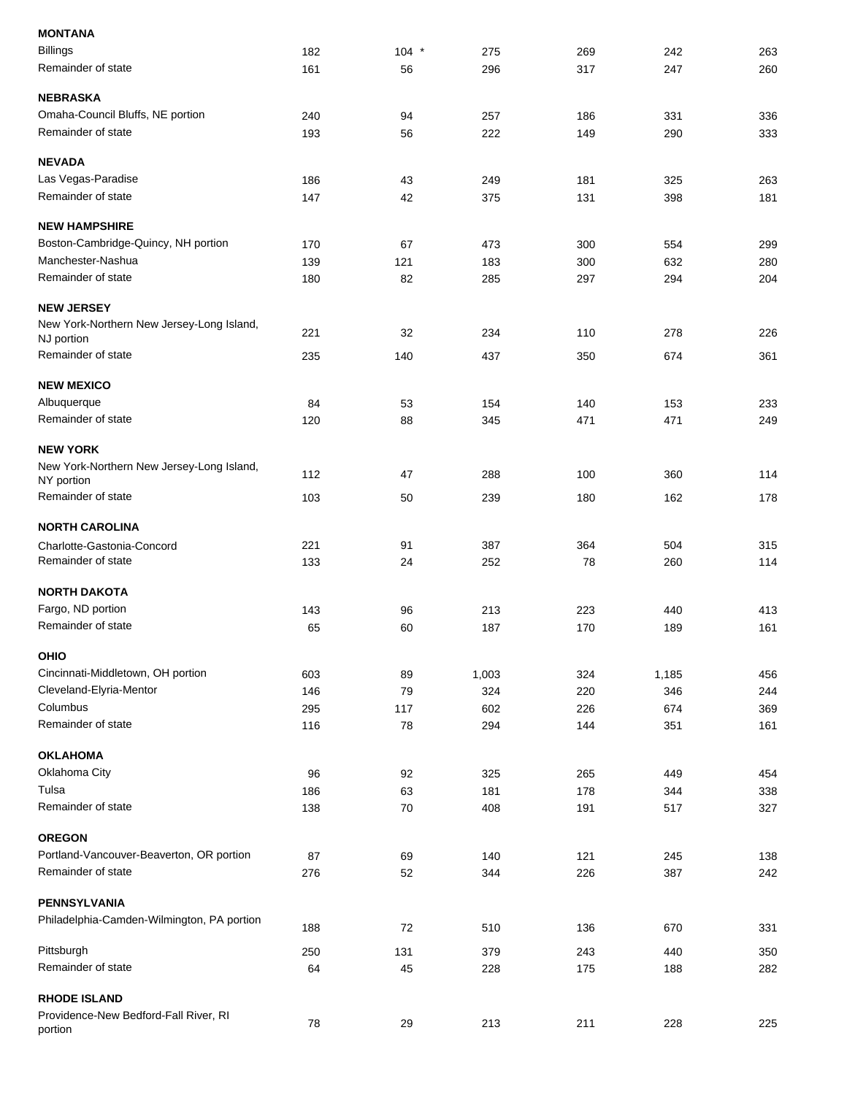| <b>MONTANA</b>                                               |     |         |       |     |       |     |
|--------------------------------------------------------------|-----|---------|-------|-----|-------|-----|
| <b>Billings</b>                                              | 182 | $104$ * | 275   | 269 | 242   | 263 |
| Remainder of state                                           | 161 | 56      | 296   | 317 | 247   | 260 |
| <b>NEBRASKA</b>                                              |     |         |       |     |       |     |
| Omaha-Council Bluffs, NE portion                             | 240 | 94      | 257   | 186 | 331   | 336 |
| Remainder of state                                           | 193 | 56      | 222   | 149 | 290   | 333 |
| <b>NEVADA</b>                                                |     |         |       |     |       |     |
| Las Vegas-Paradise                                           | 186 | 43      | 249   | 181 | 325   | 263 |
| Remainder of state                                           | 147 | 42      | 375   | 131 | 398   | 181 |
| <b>NEW HAMPSHIRE</b>                                         |     |         |       |     |       |     |
| Boston-Cambridge-Quincy, NH portion                          | 170 | 67      | 473   | 300 | 554   | 299 |
| Manchester-Nashua                                            | 139 | 121     | 183   | 300 | 632   | 280 |
| Remainder of state                                           | 180 | 82      | 285   | 297 | 294   | 204 |
| <b>NEW JERSEY</b>                                            |     |         |       |     |       |     |
| New York-Northern New Jersey-Long Island,<br>NJ portion      | 221 | 32      | 234   | 110 | 278   | 226 |
| Remainder of state                                           | 235 | 140     | 437   | 350 | 674   | 361 |
| <b>NEW MEXICO</b>                                            |     |         |       |     |       |     |
| Albuquerque                                                  | 84  | 53      | 154   | 140 | 153   | 233 |
| Remainder of state                                           |     |         |       |     |       |     |
|                                                              | 120 | 88      | 345   | 471 | 471   | 249 |
| <b>NEW YORK</b>                                              |     |         |       |     |       |     |
| New York-Northern New Jersey-Long Island,<br>NY portion      | 112 | 47      | 288   | 100 | 360   | 114 |
| Remainder of state                                           | 103 | 50      | 239   | 180 | 162   | 178 |
| <b>NORTH CAROLINA</b>                                        |     |         |       |     |       |     |
| Charlotte-Gastonia-Concord                                   | 221 | 91      | 387   | 364 | 504   | 315 |
| Remainder of state                                           | 133 | 24      | 252   | 78  | 260   | 114 |
| <b>NORTH DAKOTA</b>                                          |     |         |       |     |       |     |
| Fargo, ND portion                                            | 143 | 96      | 213   | 223 | 440   | 413 |
| Remainder of state                                           | 65  | 60      | 187   | 170 | 189   | 161 |
| OHIO                                                         |     |         |       |     |       |     |
| Cincinnati-Middletown, OH portion                            | 603 | 89      | 1,003 | 324 | 1,185 | 456 |
| Cleveland-Elyria-Mentor                                      | 146 | 79      | 324   | 220 | 346   | 244 |
| Columbus                                                     |     |         |       |     |       |     |
| Remainder of state                                           | 295 | 117     | 602   | 226 | 674   | 369 |
|                                                              | 116 | 78      | 294   | 144 | 351   | 161 |
| <b>OKLAHOMA</b>                                              |     |         |       |     |       |     |
| Oklahoma City                                                | 96  | 92      | 325   | 265 | 449   | 454 |
| Tulsa                                                        | 186 | 63      | 181   | 178 | 344   | 338 |
| Remainder of state                                           | 138 | 70      | 408   | 191 | 517   | 327 |
| <b>OREGON</b>                                                |     |         |       |     |       |     |
| Portland-Vancouver-Beaverton, OR portion                     | 87  | 69      | 140   | 121 | 245   | 138 |
| Remainder of state                                           | 276 | 52      | 344   | 226 | 387   | 242 |
| <b>PENNSYLVANIA</b>                                          |     |         |       |     |       |     |
| Philadelphia-Camden-Wilmington, PA portion                   | 188 | 72      | 510   | 136 | 670   | 331 |
| Pittsburgh                                                   | 250 | 131     | 379   | 243 | 440   | 350 |
| Remainder of state                                           | 64  | 45      | 228   | 175 | 188   | 282 |
|                                                              |     |         |       |     |       |     |
| <b>RHODE ISLAND</b><br>Providence-New Bedford-Fall River, RI |     |         |       |     |       |     |
| portion                                                      | 78  | 29      | 213   | 211 | 228   | 225 |
|                                                              |     |         |       |     |       |     |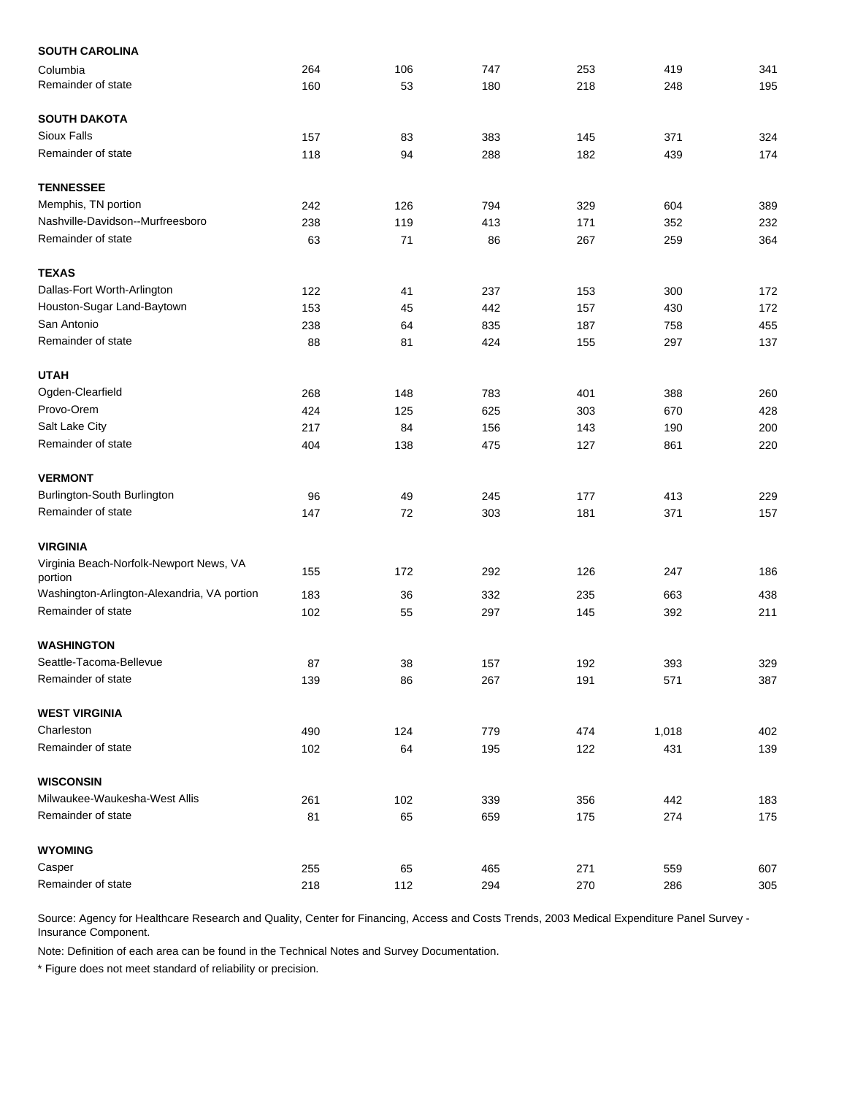| <b>SOUTH CAROLINA</b>                              |     |     |     |     |       |     |
|----------------------------------------------------|-----|-----|-----|-----|-------|-----|
| Columbia                                           | 264 | 106 | 747 | 253 | 419   | 341 |
| Remainder of state                                 | 160 | 53  | 180 | 218 | 248   | 195 |
| <b>SOUTH DAKOTA</b>                                |     |     |     |     |       |     |
| <b>Sioux Falls</b>                                 | 157 | 83  | 383 | 145 | 371   | 324 |
| Remainder of state                                 | 118 | 94  | 288 | 182 | 439   | 174 |
| <b>TENNESSEE</b>                                   |     |     |     |     |       |     |
| Memphis, TN portion                                | 242 | 126 | 794 | 329 | 604   | 389 |
| Nashville-Davidson--Murfreesboro                   | 238 | 119 | 413 | 171 | 352   | 232 |
| Remainder of state                                 | 63  | 71  | 86  | 267 | 259   | 364 |
| <b>TEXAS</b>                                       |     |     |     |     |       |     |
| Dallas-Fort Worth-Arlington                        | 122 | 41  | 237 | 153 | 300   | 172 |
| Houston-Sugar Land-Baytown                         | 153 | 45  | 442 | 157 | 430   | 172 |
| San Antonio                                        | 238 | 64  | 835 | 187 | 758   | 455 |
| Remainder of state                                 | 88  | 81  | 424 | 155 | 297   | 137 |
| <b>UTAH</b>                                        |     |     |     |     |       |     |
| Ogden-Clearfield                                   | 268 | 148 | 783 | 401 | 388   | 260 |
| Provo-Orem                                         | 424 | 125 | 625 | 303 | 670   | 428 |
| Salt Lake City                                     | 217 | 84  | 156 | 143 | 190   | 200 |
| Remainder of state                                 | 404 | 138 | 475 | 127 | 861   | 220 |
| <b>VERMONT</b>                                     |     |     |     |     |       |     |
| Burlington-South Burlington                        | 96  | 49  | 245 | 177 | 413   | 229 |
| Remainder of state                                 | 147 | 72  | 303 | 181 | 371   | 157 |
| <b>VIRGINIA</b>                                    |     |     |     |     |       |     |
| Virginia Beach-Norfolk-Newport News, VA<br>portion | 155 | 172 | 292 | 126 | 247   | 186 |
| Washington-Arlington-Alexandria, VA portion        | 183 | 36  | 332 | 235 | 663   | 438 |
| Remainder of state                                 | 102 | 55  | 297 | 145 | 392   | 211 |
| <b>WASHINGTON</b>                                  |     |     |     |     |       |     |
| Seattle-Tacoma-Bellevue                            | 87  | 38  | 157 | 192 | 393   | 329 |
| Remainder of state                                 | 139 | 86  | 267 | 191 | 571   | 387 |
| <b>WEST VIRGINIA</b>                               |     |     |     |     |       |     |
| Charleston                                         | 490 | 124 | 779 | 474 | 1,018 | 402 |
| Remainder of state                                 | 102 | 64  | 195 | 122 | 431   | 139 |
| <b>WISCONSIN</b>                                   |     |     |     |     |       |     |
| Milwaukee-Waukesha-West Allis                      | 261 | 102 | 339 | 356 | 442   | 183 |
| Remainder of state                                 | 81  | 65  | 659 | 175 | 274   | 175 |
| <b>WYOMING</b>                                     |     |     |     |     |       |     |
| Casper                                             | 255 | 65  | 465 | 271 | 559   | 607 |
| Remainder of state                                 | 218 | 112 | 294 | 270 | 286   | 305 |

Note: Definition of each area can be found in the Technical Notes and Survey Documentation.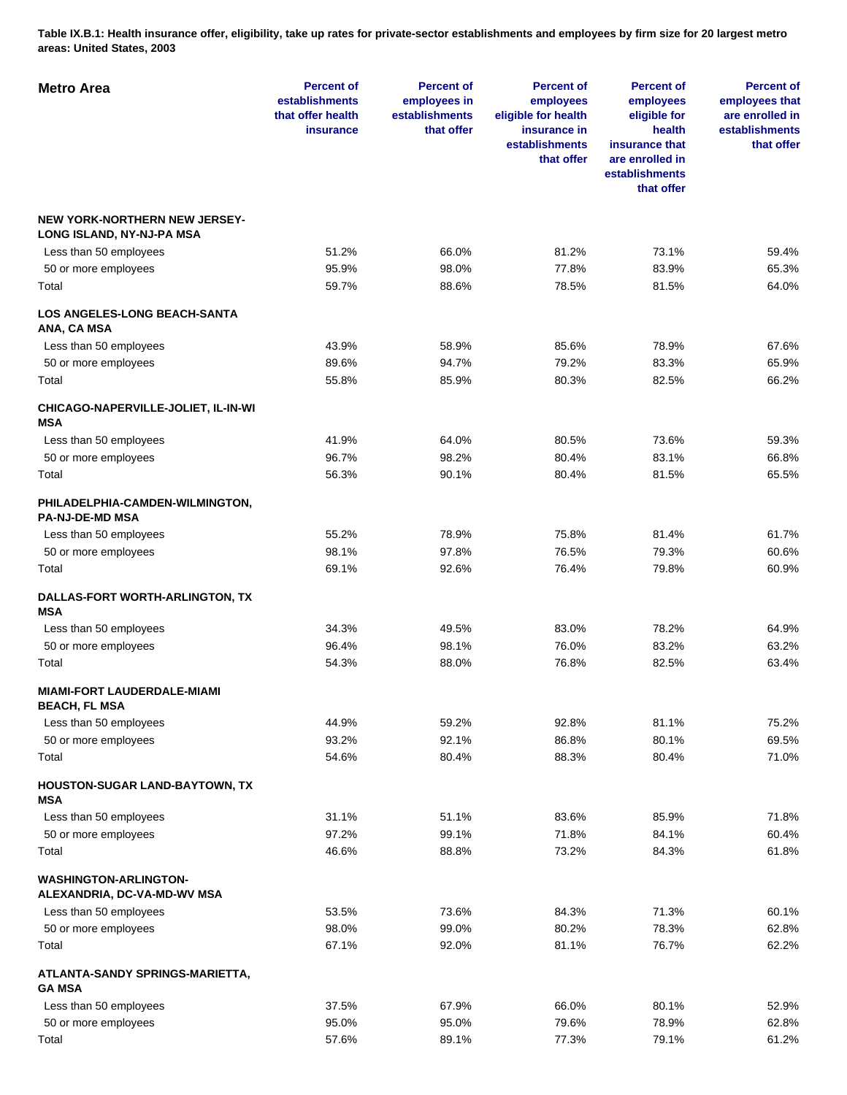**Table IX.B.1: Health insurance offer, eligibility, take up rates for private-sector establishments and employees by firm size for 20 largest metro areas: United States, 2003** 

| <b>Metro Area</b>                                                 | <b>Percent of</b><br>establishments<br>that offer health<br><b>insurance</b> | <b>Percent of</b><br>employees in<br>establishments<br>that offer | <b>Percent of</b><br>employees<br>eligible for health<br>insurance in<br>establishments<br>that offer | <b>Percent of</b><br>employees<br>eligible for<br>health<br>insurance that<br>are enrolled in<br>establishments<br>that offer | <b>Percent of</b><br>employees that<br>are enrolled in<br>establishments<br>that offer |
|-------------------------------------------------------------------|------------------------------------------------------------------------------|-------------------------------------------------------------------|-------------------------------------------------------------------------------------------------------|-------------------------------------------------------------------------------------------------------------------------------|----------------------------------------------------------------------------------------|
| <b>NEW YORK-NORTHERN NEW JERSEY-</b><br>LONG ISLAND, NY-NJ-PA MSA |                                                                              |                                                                   |                                                                                                       |                                                                                                                               |                                                                                        |
| Less than 50 employees                                            | 51.2%                                                                        | 66.0%                                                             | 81.2%                                                                                                 | 73.1%                                                                                                                         | 59.4%                                                                                  |
| 50 or more employees                                              | 95.9%                                                                        | 98.0%                                                             | 77.8%                                                                                                 | 83.9%                                                                                                                         | 65.3%                                                                                  |
| Total                                                             | 59.7%                                                                        | 88.6%                                                             | 78.5%                                                                                                 | 81.5%                                                                                                                         | 64.0%                                                                                  |
| <b>LOS ANGELES-LONG BEACH-SANTA</b><br>ANA, CA MSA                |                                                                              |                                                                   |                                                                                                       |                                                                                                                               |                                                                                        |
| Less than 50 employees                                            | 43.9%                                                                        | 58.9%                                                             | 85.6%                                                                                                 | 78.9%                                                                                                                         | 67.6%                                                                                  |
| 50 or more employees                                              | 89.6%                                                                        | 94.7%                                                             | 79.2%                                                                                                 | 83.3%                                                                                                                         | 65.9%                                                                                  |
| Total                                                             | 55.8%                                                                        | 85.9%                                                             | 80.3%                                                                                                 | 82.5%                                                                                                                         | 66.2%                                                                                  |
| CHICAGO-NAPERVILLE-JOLIET, IL-IN-WI<br><b>MSA</b>                 |                                                                              |                                                                   |                                                                                                       |                                                                                                                               |                                                                                        |
| Less than 50 employees                                            | 41.9%                                                                        | 64.0%                                                             | 80.5%                                                                                                 | 73.6%                                                                                                                         | 59.3%                                                                                  |
| 50 or more employees                                              | 96.7%                                                                        | 98.2%                                                             | 80.4%                                                                                                 | 83.1%                                                                                                                         | 66.8%                                                                                  |
| Total                                                             | 56.3%                                                                        | 90.1%                                                             | 80.4%                                                                                                 | 81.5%                                                                                                                         | 65.5%                                                                                  |
| PHILADELPHIA-CAMDEN-WILMINGTON,<br><b>PA-NJ-DE-MD MSA</b>         |                                                                              |                                                                   |                                                                                                       |                                                                                                                               |                                                                                        |
| Less than 50 employees                                            | 55.2%                                                                        | 78.9%                                                             | 75.8%                                                                                                 | 81.4%                                                                                                                         | 61.7%                                                                                  |
| 50 or more employees                                              | 98.1%                                                                        | 97.8%                                                             | 76.5%                                                                                                 | 79.3%                                                                                                                         | 60.6%                                                                                  |
| Total                                                             | 69.1%                                                                        | 92.6%                                                             | 76.4%                                                                                                 | 79.8%                                                                                                                         | 60.9%                                                                                  |
| DALLAS-FORT WORTH-ARLINGTON, TX<br><b>MSA</b>                     |                                                                              |                                                                   |                                                                                                       |                                                                                                                               |                                                                                        |
| Less than 50 employees                                            | 34.3%                                                                        | 49.5%                                                             | 83.0%                                                                                                 | 78.2%                                                                                                                         | 64.9%                                                                                  |
| 50 or more employees                                              | 96.4%                                                                        | 98.1%                                                             | 76.0%                                                                                                 | 83.2%                                                                                                                         | 63.2%                                                                                  |
| Total                                                             | 54.3%                                                                        | 88.0%                                                             | 76.8%                                                                                                 | 82.5%                                                                                                                         | 63.4%                                                                                  |
| <b>MIAMI-FORT LAUDERDALE-MIAMI</b><br><b>BEACH, FL MSA</b>        |                                                                              |                                                                   |                                                                                                       |                                                                                                                               |                                                                                        |
| Less than 50 employees                                            | 44.9%                                                                        | 59.2%                                                             | 92.8%                                                                                                 | 81.1%                                                                                                                         | 75.2%                                                                                  |
| 50 or more employees                                              | 93.2%                                                                        | 92.1%                                                             | 86.8%                                                                                                 | 80.1%                                                                                                                         | 69.5%                                                                                  |
| Total                                                             | 54.6%                                                                        | 80.4%                                                             | 88.3%                                                                                                 | 80.4%                                                                                                                         | 71.0%                                                                                  |
| <b>HOUSTON-SUGAR LAND-BAYTOWN, TX</b><br><b>MSA</b>               |                                                                              |                                                                   |                                                                                                       |                                                                                                                               |                                                                                        |
| Less than 50 employees                                            | 31.1%                                                                        | 51.1%                                                             | 83.6%                                                                                                 | 85.9%                                                                                                                         | 71.8%                                                                                  |
| 50 or more employees                                              | 97.2%                                                                        | 99.1%                                                             | 71.8%                                                                                                 | 84.1%                                                                                                                         | 60.4%                                                                                  |
| Total                                                             | 46.6%                                                                        | 88.8%                                                             | 73.2%                                                                                                 | 84.3%                                                                                                                         | 61.8%                                                                                  |
| <b>WASHINGTON-ARLINGTON-</b><br>ALEXANDRIA, DC-VA-MD-WV MSA       |                                                                              |                                                                   |                                                                                                       |                                                                                                                               |                                                                                        |
| Less than 50 employees                                            | 53.5%                                                                        | 73.6%                                                             | 84.3%                                                                                                 | 71.3%                                                                                                                         | 60.1%                                                                                  |
| 50 or more employees                                              | 98.0%                                                                        | 99.0%                                                             | 80.2%                                                                                                 | 78.3%                                                                                                                         | 62.8%                                                                                  |
| Total                                                             | 67.1%                                                                        | 92.0%                                                             | 81.1%                                                                                                 | 76.7%                                                                                                                         | 62.2%                                                                                  |
| ATLANTA-SANDY SPRINGS-MARIETTA,<br><b>GA MSA</b>                  |                                                                              |                                                                   |                                                                                                       |                                                                                                                               |                                                                                        |
| Less than 50 employees                                            | 37.5%                                                                        | 67.9%                                                             | 66.0%                                                                                                 | 80.1%                                                                                                                         | 52.9%                                                                                  |
| 50 or more employees                                              | 95.0%                                                                        | 95.0%                                                             | 79.6%                                                                                                 | 78.9%                                                                                                                         | 62.8%                                                                                  |
| Total                                                             | 57.6%                                                                        | 89.1%                                                             | 77.3%                                                                                                 | 79.1%                                                                                                                         | 61.2%                                                                                  |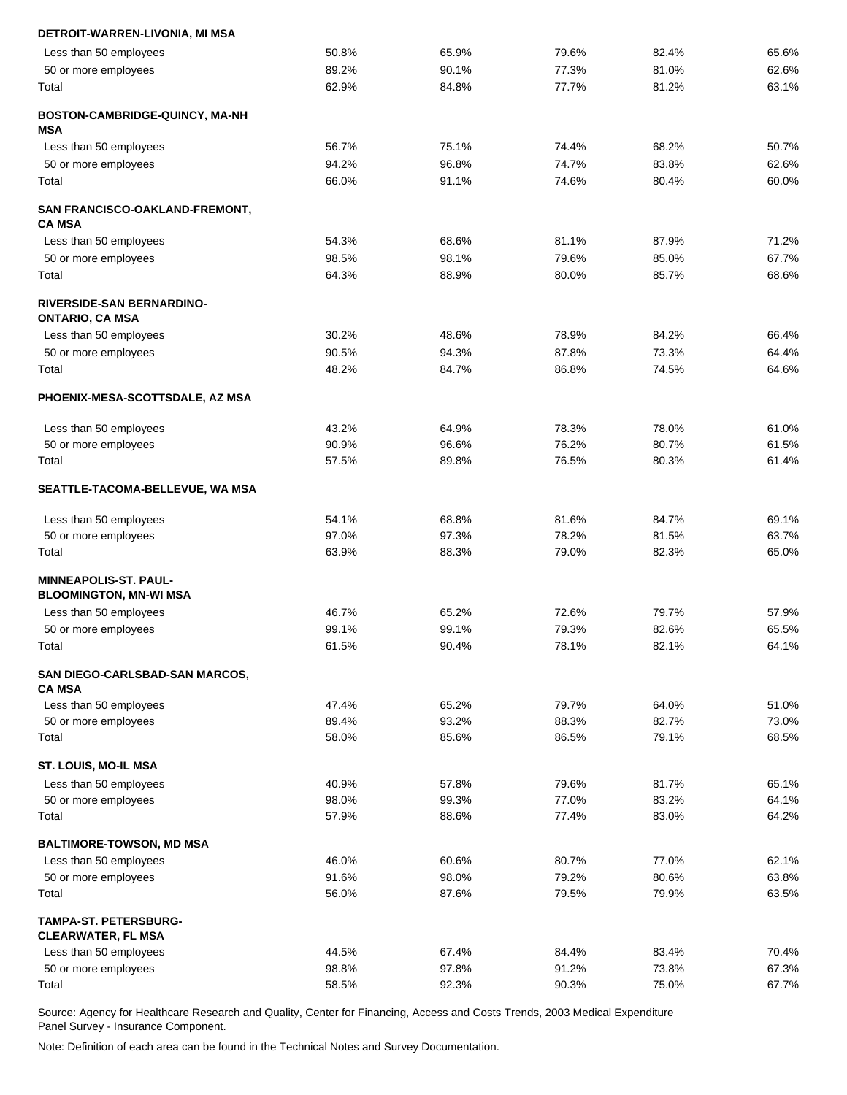| DETROIT-WARREN-LIVONIA, MI MSA                             |       |       |       |       |       |
|------------------------------------------------------------|-------|-------|-------|-------|-------|
| Less than 50 employees                                     | 50.8% | 65.9% | 79.6% | 82.4% | 65.6% |
| 50 or more employees                                       | 89.2% | 90.1% | 77.3% | 81.0% | 62.6% |
| Total                                                      | 62.9% | 84.8% | 77.7% | 81.2% | 63.1% |
| BOSTON-CAMBRIDGE-QUINCY, MA-NH<br>MSA                      |       |       |       |       |       |
| Less than 50 employees                                     | 56.7% | 75.1% | 74.4% | 68.2% | 50.7% |
| 50 or more employees                                       | 94.2% | 96.8% | 74.7% | 83.8% | 62.6% |
| Total                                                      | 66.0% | 91.1% | 74.6% | 80.4% | 60.0% |
| SAN FRANCISCO-OAKLAND-FREMONT,<br><b>CA MSA</b>            |       |       |       |       |       |
| Less than 50 employees                                     | 54.3% | 68.6% | 81.1% | 87.9% | 71.2% |
| 50 or more employees                                       | 98.5% | 98.1% | 79.6% | 85.0% | 67.7% |
| Total                                                      | 64.3% | 88.9% | 80.0% | 85.7% | 68.6% |
| <b>RIVERSIDE-SAN BERNARDINO-</b><br><b>ONTARIO, CA MSA</b> |       |       |       |       |       |
| Less than 50 employees                                     | 30.2% | 48.6% | 78.9% | 84.2% | 66.4% |
| 50 or more employees                                       | 90.5% | 94.3% | 87.8% | 73.3% | 64.4% |
| Total                                                      | 48.2% | 84.7% | 86.8% | 74.5% | 64.6% |
| PHOENIX-MESA-SCOTTSDALE, AZ MSA                            |       |       |       |       |       |
| Less than 50 employees                                     | 43.2% | 64.9% | 78.3% | 78.0% | 61.0% |
| 50 or more employees                                       | 90.9% | 96.6% | 76.2% | 80.7% | 61.5% |
| Total                                                      | 57.5% | 89.8% | 76.5% | 80.3% | 61.4% |
| SEATTLE-TACOMA-BELLEVUE, WA MSA                            |       |       |       |       |       |
| Less than 50 employees                                     | 54.1% | 68.8% | 81.6% | 84.7% | 69.1% |
| 50 or more employees                                       | 97.0% | 97.3% | 78.2% | 81.5% | 63.7% |
| Total                                                      | 63.9% | 88.3% | 79.0% | 82.3% | 65.0% |
| MINNEAPOLIS-ST. PAUL-<br><b>BLOOMINGTON, MN-WI MSA</b>     |       |       |       |       |       |
| Less than 50 employees                                     | 46.7% | 65.2% | 72.6% | 79.7% | 57.9% |
| 50 or more employees                                       | 99.1% | 99.1% | 79.3% | 82.6% | 65.5% |
| Total                                                      | 61.5% | 90.4% | 78.1% | 82.1% | 64.1% |
|                                                            |       |       |       |       |       |
| SAN DIEGO-CARLSBAD-SAN MARCOS,<br><b>CA MSA</b>            |       |       |       |       |       |
| Less than 50 employees                                     | 47.4% | 65.2% | 79.7% | 64.0% | 51.0% |
| 50 or more employees                                       | 89.4% | 93.2% | 88.3% | 82.7% | 73.0% |
| Total                                                      | 58.0% | 85.6% | 86.5% | 79.1% | 68.5% |
| ST. LOUIS, MO-IL MSA                                       |       |       |       |       |       |
| Less than 50 employees                                     | 40.9% | 57.8% | 79.6% | 81.7% | 65.1% |
| 50 or more employees                                       | 98.0% | 99.3% | 77.0% | 83.2% | 64.1% |
| Total                                                      | 57.9% | 88.6% | 77.4% | 83.0% | 64.2% |
| <b>BALTIMORE-TOWSON, MD MSA</b>                            |       |       |       |       |       |
| Less than 50 employees                                     | 46.0% | 60.6% | 80.7% | 77.0% | 62.1% |
| 50 or more employees                                       | 91.6% | 98.0% | 79.2% | 80.6% | 63.8% |
| Total                                                      | 56.0% | 87.6% | 79.5% | 79.9% | 63.5% |
| <b>TAMPA-ST. PETERSBURG-</b><br><b>CLEARWATER, FL MSA</b>  |       |       |       |       |       |
| Less than 50 employees                                     | 44.5% | 67.4% | 84.4% | 83.4% | 70.4% |
| 50 or more employees                                       | 98.8% | 97.8% | 91.2% | 73.8% | 67.3% |
| Total                                                      | 58.5% | 92.3% | 90.3% | 75.0% | 67.7% |
|                                                            |       |       |       |       |       |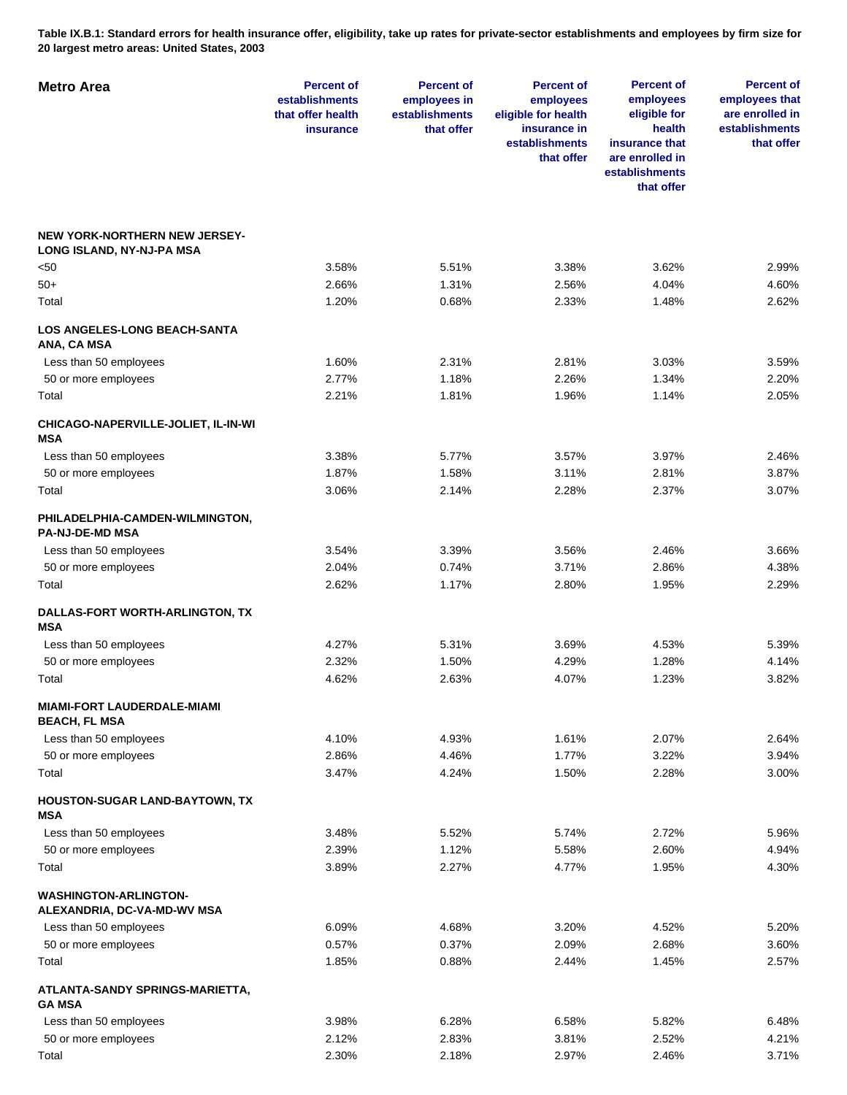**Table IX.B.1: Standard errors for health insurance offer, eligibility, take up rates for private-sector establishments and employees by firm size for 20 largest metro areas: United States, 2003** 

| <b>Metro Area</b>                                                 | <b>Percent of</b><br>establishments<br>that offer health<br>insurance | <b>Percent of</b><br>employees in<br>establishments<br>that offer | <b>Percent of</b><br>employees<br>eligible for health<br>insurance in<br>establishments<br>that offer | <b>Percent of</b><br>employees<br>eligible for<br>health<br>insurance that<br>are enrolled in<br>establishments<br>that offer | <b>Percent of</b><br>employees that<br>are enrolled in<br>establishments<br>that offer |
|-------------------------------------------------------------------|-----------------------------------------------------------------------|-------------------------------------------------------------------|-------------------------------------------------------------------------------------------------------|-------------------------------------------------------------------------------------------------------------------------------|----------------------------------------------------------------------------------------|
| <b>NEW YORK-NORTHERN NEW JERSEY-</b><br>LONG ISLAND, NY-NJ-PA MSA |                                                                       |                                                                   |                                                                                                       |                                                                                                                               |                                                                                        |
| <50                                                               | 3.58%                                                                 | 5.51%                                                             | 3.38%                                                                                                 | 3.62%                                                                                                                         | 2.99%                                                                                  |
| 50+                                                               | 2.66%                                                                 | 1.31%                                                             | 2.56%                                                                                                 | 4.04%                                                                                                                         | 4.60%                                                                                  |
| Total                                                             | 1.20%                                                                 | 0.68%                                                             | 2.33%                                                                                                 | 1.48%                                                                                                                         | 2.62%                                                                                  |
| <b>LOS ANGELES-LONG BEACH-SANTA</b><br>ANA, CA MSA                |                                                                       |                                                                   |                                                                                                       |                                                                                                                               |                                                                                        |
| Less than 50 employees                                            | 1.60%                                                                 | 2.31%                                                             | 2.81%                                                                                                 | 3.03%                                                                                                                         | 3.59%                                                                                  |
| 50 or more employees                                              | 2.77%                                                                 | 1.18%                                                             | 2.26%                                                                                                 | 1.34%                                                                                                                         | 2.20%                                                                                  |
| Total                                                             | 2.21%                                                                 | 1.81%                                                             | 1.96%                                                                                                 | 1.14%                                                                                                                         | 2.05%                                                                                  |
| CHICAGO-NAPERVILLE-JOLIET, IL-IN-WI<br><b>MSA</b>                 |                                                                       |                                                                   |                                                                                                       |                                                                                                                               |                                                                                        |
| Less than 50 employees                                            | 3.38%                                                                 | 5.77%                                                             | 3.57%                                                                                                 | 3.97%                                                                                                                         | 2.46%                                                                                  |
| 50 or more employees                                              | 1.87%                                                                 | 1.58%                                                             | 3.11%                                                                                                 | 2.81%                                                                                                                         | 3.87%                                                                                  |
| Total                                                             | 3.06%                                                                 | 2.14%                                                             | 2.28%                                                                                                 | 2.37%                                                                                                                         | 3.07%                                                                                  |
| PHILADELPHIA-CAMDEN-WILMINGTON,<br><b>PA-NJ-DE-MD MSA</b>         |                                                                       |                                                                   |                                                                                                       |                                                                                                                               |                                                                                        |
| Less than 50 employees                                            | 3.54%                                                                 | 3.39%                                                             | 3.56%                                                                                                 | 2.46%                                                                                                                         | 3.66%                                                                                  |
| 50 or more employees                                              | 2.04%                                                                 | 0.74%                                                             | 3.71%                                                                                                 | 2.86%                                                                                                                         | 4.38%                                                                                  |
| Total                                                             | 2.62%                                                                 | 1.17%                                                             | 2.80%                                                                                                 | 1.95%                                                                                                                         | 2.29%                                                                                  |
| DALLAS-FORT WORTH-ARLINGTON, TX<br><b>MSA</b>                     |                                                                       |                                                                   |                                                                                                       |                                                                                                                               |                                                                                        |
| Less than 50 employees                                            | 4.27%                                                                 | 5.31%                                                             | 3.69%                                                                                                 | 4.53%                                                                                                                         | 5.39%                                                                                  |
| 50 or more employees                                              | 2.32%                                                                 | 1.50%                                                             | 4.29%                                                                                                 | 1.28%                                                                                                                         | 4.14%                                                                                  |
| Total                                                             | 4.62%                                                                 | 2.63%                                                             | 4.07%                                                                                                 | 1.23%                                                                                                                         | 3.82%                                                                                  |
| <b>MIAMI-FORT LAUDERDALE-MIAMI</b><br><b>BEACH, FL MSA</b>        |                                                                       |                                                                   |                                                                                                       |                                                                                                                               |                                                                                        |
| Less than 50 employees                                            | 4.10%                                                                 | 4.93%                                                             | 1.61%                                                                                                 | 2.07%                                                                                                                         | 2.64%                                                                                  |
| 50 or more employees                                              | 2.86%                                                                 | 4.46%                                                             | 1.77%                                                                                                 | 3.22%                                                                                                                         | 3.94%                                                                                  |
| Total                                                             | 3.47%                                                                 | 4.24%                                                             | 1.50%                                                                                                 | 2.28%                                                                                                                         | 3.00%                                                                                  |
| HOUSTON-SUGAR LAND-BAYTOWN, TX<br>MSA                             |                                                                       |                                                                   |                                                                                                       |                                                                                                                               |                                                                                        |
| Less than 50 employees                                            | 3.48%                                                                 | 5.52%                                                             | 5.74%                                                                                                 | 2.72%                                                                                                                         | 5.96%                                                                                  |
| 50 or more employees                                              | 2.39%                                                                 | 1.12%                                                             | 5.58%                                                                                                 | 2.60%                                                                                                                         | 4.94%                                                                                  |
| Total                                                             | 3.89%                                                                 | 2.27%                                                             | 4.77%                                                                                                 | 1.95%                                                                                                                         | 4.30%                                                                                  |
| <b>WASHINGTON-ARLINGTON-</b><br>ALEXANDRIA, DC-VA-MD-WV MSA       |                                                                       |                                                                   |                                                                                                       |                                                                                                                               |                                                                                        |
| Less than 50 employees                                            | 6.09%                                                                 | 4.68%                                                             | 3.20%                                                                                                 | 4.52%                                                                                                                         | 5.20%                                                                                  |
| 50 or more employees                                              | 0.57%                                                                 | 0.37%                                                             | 2.09%                                                                                                 | 2.68%                                                                                                                         | 3.60%                                                                                  |
| Total                                                             | 1.85%                                                                 | 0.88%                                                             | 2.44%                                                                                                 | 1.45%                                                                                                                         | 2.57%                                                                                  |
| ATLANTA-SANDY SPRINGS-MARIETTA,<br><b>GA MSA</b>                  |                                                                       |                                                                   |                                                                                                       |                                                                                                                               |                                                                                        |
| Less than 50 employees                                            | 3.98%                                                                 | 6.28%                                                             | 6.58%                                                                                                 | 5.82%                                                                                                                         | 6.48%                                                                                  |
| 50 or more employees                                              | 2.12%                                                                 | 2.83%                                                             | 3.81%                                                                                                 | 2.52%                                                                                                                         | 4.21%                                                                                  |
| Total                                                             | 2.30%                                                                 | 2.18%                                                             | 2.97%                                                                                                 | 2.46%                                                                                                                         | 3.71%                                                                                  |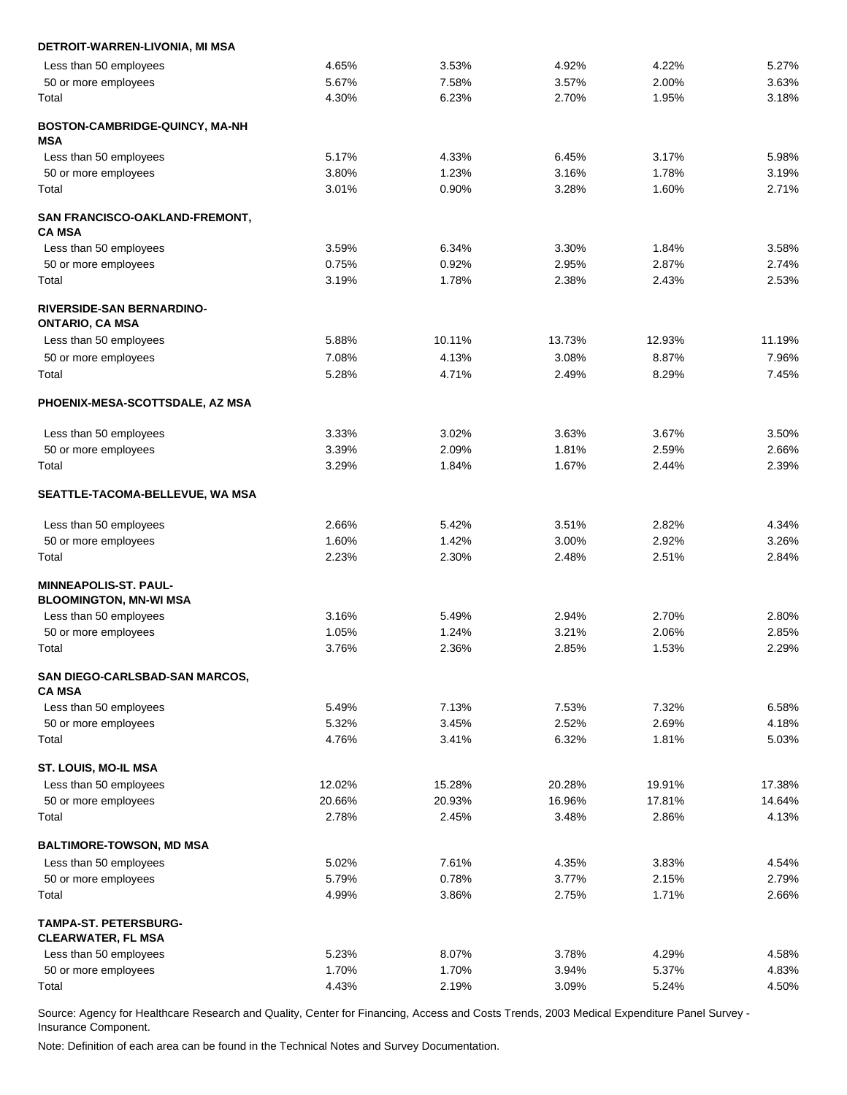| DETROIT-WARREN-LIVONIA, MI MSA                             |        |        |        |        |        |
|------------------------------------------------------------|--------|--------|--------|--------|--------|
| Less than 50 employees                                     | 4.65%  | 3.53%  | 4.92%  | 4.22%  | 5.27%  |
| 50 or more employees                                       | 5.67%  | 7.58%  | 3.57%  | 2.00%  | 3.63%  |
| Total                                                      | 4.30%  | 6.23%  | 2.70%  | 1.95%  | 3.18%  |
| BOSTON-CAMBRIDGE-QUINCY, MA-NH<br>MSA                      |        |        |        |        |        |
| Less than 50 employees                                     | 5.17%  | 4.33%  | 6.45%  | 3.17%  | 5.98%  |
| 50 or more employees                                       | 3.80%  | 1.23%  | 3.16%  | 1.78%  | 3.19%  |
| Total                                                      | 3.01%  | 0.90%  | 3.28%  | 1.60%  | 2.71%  |
| SAN FRANCISCO-OAKLAND-FREMONT,<br><b>CA MSA</b>            |        |        |        |        |        |
| Less than 50 employees                                     | 3.59%  | 6.34%  | 3.30%  | 1.84%  | 3.58%  |
| 50 or more employees                                       | 0.75%  | 0.92%  | 2.95%  | 2.87%  | 2.74%  |
| Total                                                      | 3.19%  | 1.78%  | 2.38%  | 2.43%  | 2.53%  |
| <b>RIVERSIDE-SAN BERNARDINO-</b><br><b>ONTARIO, CA MSA</b> |        |        |        |        |        |
| Less than 50 employees                                     | 5.88%  | 10.11% | 13.73% | 12.93% | 11.19% |
| 50 or more employees                                       | 7.08%  | 4.13%  | 3.08%  | 8.87%  | 7.96%  |
| Total                                                      | 5.28%  | 4.71%  | 2.49%  | 8.29%  | 7.45%  |
| PHOENIX-MESA-SCOTTSDALE, AZ MSA                            |        |        |        |        |        |
| Less than 50 employees                                     | 3.33%  | 3.02%  | 3.63%  | 3.67%  | 3.50%  |
| 50 or more employees                                       | 3.39%  | 2.09%  | 1.81%  | 2.59%  | 2.66%  |
| Total                                                      | 3.29%  | 1.84%  | 1.67%  | 2.44%  | 2.39%  |
| SEATTLE-TACOMA-BELLEVUE, WA MSA                            |        |        |        |        |        |
| Less than 50 employees                                     | 2.66%  | 5.42%  | 3.51%  | 2.82%  | 4.34%  |
| 50 or more employees                                       | 1.60%  | 1.42%  | 3.00%  | 2.92%  | 3.26%  |
| Total                                                      | 2.23%  | 2.30%  | 2.48%  | 2.51%  | 2.84%  |
| <b>MINNEAPOLIS-ST. PAUL-</b>                               |        |        |        |        |        |
| <b>BLOOMINGTON, MN-WI MSA</b>                              |        |        |        |        |        |
| Less than 50 employees                                     | 3.16%  | 5.49%  | 2.94%  | 2.70%  | 2.80%  |
| 50 or more employees                                       | 1.05%  | 1.24%  | 3.21%  | 2.06%  | 2.85%  |
| Total                                                      | 3.76%  | 2.36%  | 2.85%  | 1.53%  | 2.29%  |
| SAN DIEGO-CARLSBAD-SAN MARCOS,<br><b>CA MSA</b>            |        |        |        |        |        |
| Less than 50 employees                                     | 5.49%  | 7.13%  | 7.53%  | 7.32%  | 6.58%  |
| 50 or more employees                                       | 5.32%  | 3.45%  | 2.52%  | 2.69%  | 4.18%  |
| Total                                                      | 4.76%  | 3.41%  | 6.32%  | 1.81%  | 5.03%  |
| ST. LOUIS, MO-IL MSA                                       |        |        |        |        |        |
| Less than 50 employees                                     | 12.02% | 15.28% | 20.28% | 19.91% | 17.38% |
| 50 or more employees                                       | 20.66% | 20.93% | 16.96% | 17.81% | 14.64% |
| Total                                                      | 2.78%  | 2.45%  | 3.48%  | 2.86%  | 4.13%  |
| <b>BALTIMORE-TOWSON, MD MSA</b>                            |        |        |        |        |        |
| Less than 50 employees                                     | 5.02%  | 7.61%  | 4.35%  | 3.83%  | 4.54%  |
| 50 or more employees                                       | 5.79%  | 0.78%  | 3.77%  | 2.15%  | 2.79%  |
| Total                                                      | 4.99%  | 3.86%  | 2.75%  | 1.71%  | 2.66%  |
| <b>TAMPA-ST. PETERSBURG-</b><br><b>CLEARWATER, FL MSA</b>  |        |        |        |        |        |
| Less than 50 employees                                     | 5.23%  | 8.07%  | 3.78%  | 4.29%  | 4.58%  |
| 50 or more employees                                       | 1.70%  | 1.70%  | 3.94%  | 5.37%  | 4.83%  |
| Total                                                      | 4.43%  | 2.19%  | 3.09%  | 5.24%  | 4.50%  |
|                                                            |        |        |        |        |        |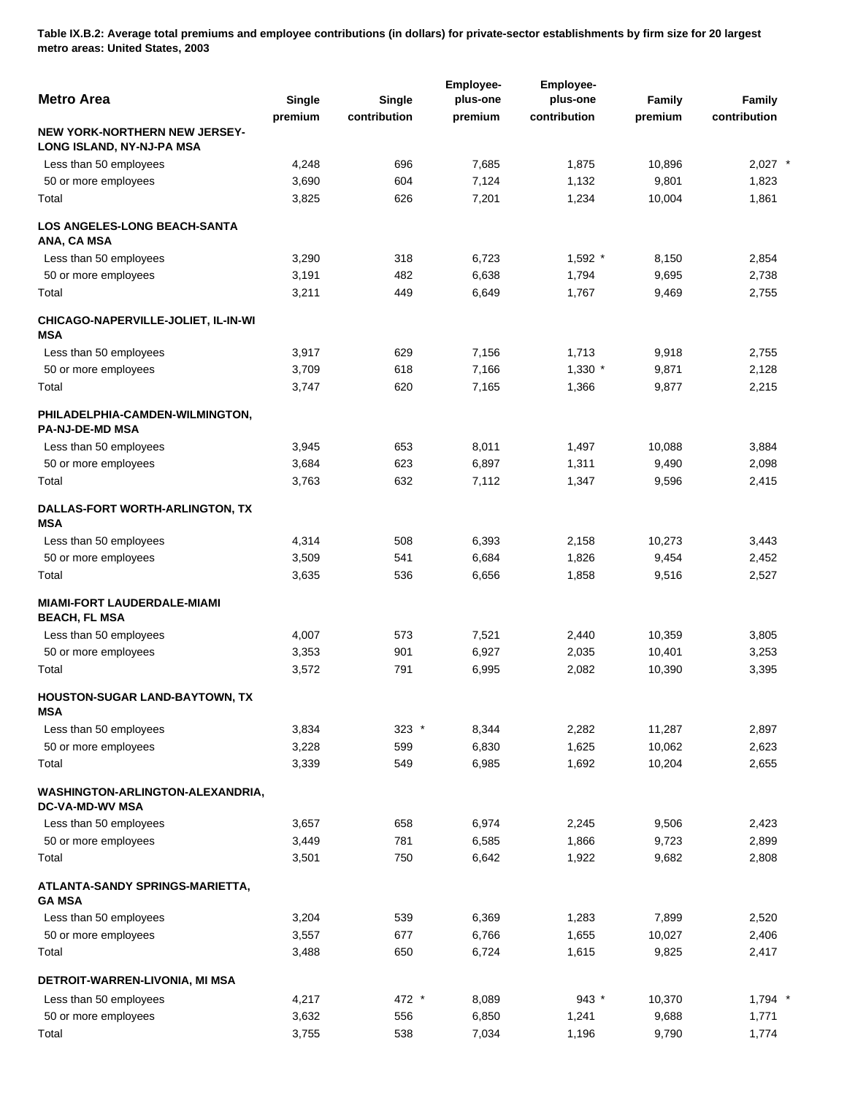**Table IX.B.2: Average total premiums and employee contributions (in dollars) for private-sector establishments by firm size for 20 largest metro areas: United States, 2003** 

| <b>Metro Area</b>                                                 | Single  | <b>Single</b> | Employee-<br>plus-one | <b>Employee-</b><br>plus-one | <b>Family</b> | Family       |
|-------------------------------------------------------------------|---------|---------------|-----------------------|------------------------------|---------------|--------------|
|                                                                   | premium | contribution  | premium               | contribution                 | premium       | contribution |
| <b>NEW YORK-NORTHERN NEW JERSEY-</b><br>LONG ISLAND, NY-NJ-PA MSA |         |               |                       |                              |               |              |
| Less than 50 employees                                            | 4,248   | 696           | 7,685                 | 1,875                        | 10,896        | $2,027$ *    |
| 50 or more employees                                              | 3,690   | 604           | 7,124                 | 1,132                        | 9,801         | 1,823        |
| Total                                                             | 3,825   | 626           | 7,201                 | 1,234                        | 10,004        | 1,861        |
| <b>LOS ANGELES-LONG BEACH-SANTA</b><br>ANA, CA MSA                |         |               |                       |                              |               |              |
| Less than 50 employees                                            | 3,290   | 318           | 6,723                 | $1,592$ *                    | 8,150         | 2,854        |
| 50 or more employees                                              | 3,191   | 482           | 6,638                 | 1,794                        | 9,695         | 2,738        |
| Total                                                             | 3,211   | 449           | 6,649                 | 1,767                        | 9,469         | 2,755        |
| CHICAGO-NAPERVILLE-JOLIET, IL-IN-WI<br><b>MSA</b>                 |         |               |                       |                              |               |              |
| Less than 50 employees                                            | 3,917   | 629           | 7,156                 | 1,713                        | 9,918         | 2,755        |
| 50 or more employees                                              | 3,709   | 618           | 7,166                 | $1,330$ *                    | 9,871         | 2,128        |
| Total                                                             | 3,747   | 620           | 7,165                 | 1,366                        | 9,877         | 2,215        |
| PHILADELPHIA-CAMDEN-WILMINGTON,<br><b>PA-NJ-DE-MD MSA</b>         |         |               |                       |                              |               |              |
| Less than 50 employees                                            | 3,945   | 653           | 8,011                 | 1,497                        | 10,088        | 3,884        |
| 50 or more employees                                              | 3,684   | 623           | 6,897                 | 1,311                        | 9,490         | 2,098        |
| Total                                                             | 3,763   | 632           | 7,112                 | 1,347                        | 9,596         | 2,415        |
| DALLAS-FORT WORTH-ARLINGTON, TX<br><b>MSA</b>                     |         |               |                       |                              |               |              |
| Less than 50 employees                                            | 4,314   | 508           | 6,393                 | 2,158                        | 10,273        | 3,443        |
| 50 or more employees                                              | 3,509   | 541           | 6,684                 | 1,826                        | 9,454         | 2,452        |
| Total                                                             | 3,635   | 536           | 6,656                 | 1,858                        | 9,516         | 2,527        |
| <b>MIAMI-FORT LAUDERDALE-MIAMI</b><br><b>BEACH, FL MSA</b>        |         |               |                       |                              |               |              |
| Less than 50 employees                                            | 4,007   | 573           | 7,521                 | 2,440                        | 10,359        | 3,805        |
| 50 or more employees                                              | 3,353   | 901           | 6,927                 | 2,035                        | 10,401        | 3,253        |
| Total                                                             | 3,572   | 791           | 6,995                 | 2,082                        | 10,390        | 3,395        |
| HOUSTON-SUGAR LAND-BAYTOWN, TX<br>MSA                             |         |               |                       |                              |               |              |
| Less than 50 employees                                            | 3,834   | $323$ *       | 8,344                 | 2,282                        | 11,287        | 2,897        |
| 50 or more employees                                              | 3,228   | 599           | 6,830                 | 1,625                        | 10,062        | 2,623        |
| Total                                                             | 3,339   | 549           | 6,985                 | 1,692                        | 10,204        | 2,655        |
| WASHINGTON-ARLINGTON-ALEXANDRIA,<br><b>DC-VA-MD-WV MSA</b>        |         |               |                       |                              |               |              |
| Less than 50 employees                                            | 3,657   | 658           | 6,974                 | 2,245                        | 9,506         | 2,423        |
| 50 or more employees                                              | 3,449   | 781           | 6,585                 | 1,866                        | 9,723         | 2,899        |
| Total                                                             | 3,501   | 750           | 6,642                 | 1,922                        | 9,682         | 2,808        |
| ATLANTA-SANDY SPRINGS-MARIETTA,<br><b>GA MSA</b>                  |         |               |                       |                              |               |              |
| Less than 50 employees                                            | 3,204   | 539           | 6,369                 | 1,283                        | 7,899         | 2,520        |
| 50 or more employees                                              | 3,557   | 677           | 6,766                 | 1,655                        | 10,027        | 2,406        |
| Total                                                             | 3,488   | 650           | 6,724                 | 1,615                        | 9,825         | 2,417        |
|                                                                   |         |               |                       |                              |               |              |
| DETROIT-WARREN-LIVONIA, MI MSA                                    |         |               |                       |                              |               |              |
| Less than 50 employees                                            | 4,217   | 472 *         | 8,089                 | $943$ *                      | 10,370        | $1,794$ *    |
| 50 or more employees                                              | 3,632   | 556           | 6,850                 | 1,241                        | 9,688         | 1,771        |
| Total                                                             | 3,755   | 538           | 7,034                 | 1,196                        | 9,790         | 1,774        |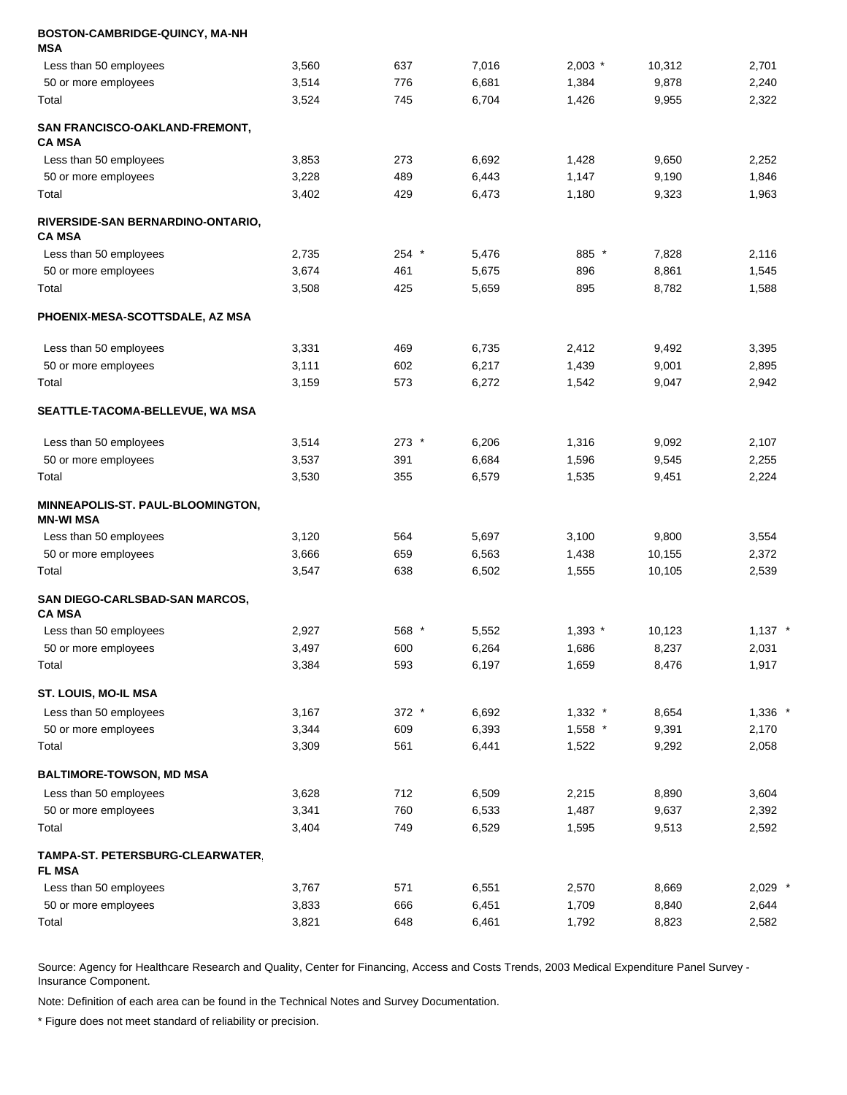| BOSTON-CAMBRIDGE-QUINCY, MA-NH<br>MSA                 |       |         |       |           |        |           |
|-------------------------------------------------------|-------|---------|-------|-----------|--------|-----------|
| Less than 50 employees                                | 3,560 | 637     | 7,016 | $2,003$ * | 10,312 | 2,701     |
| 50 or more employees                                  | 3,514 | 776     | 6,681 | 1,384     | 9,878  | 2,240     |
| Total                                                 | 3,524 | 745     | 6,704 | 1,426     | 9,955  | 2,322     |
| <b>SAN FRANCISCO-OAKLAND-FREMONT,</b><br>CA MSA       |       |         |       |           |        |           |
| Less than 50 employees                                | 3,853 | 273     | 6,692 | 1,428     | 9,650  | 2,252     |
| 50 or more employees                                  | 3,228 | 489     | 6,443 | 1,147     | 9,190  | 1,846     |
| Total                                                 | 3,402 | 429     | 6,473 | 1,180     | 9,323  | 1,963     |
| RIVERSIDE-SAN BERNARDINO-ONTARIO,<br><b>CA MSA</b>    |       |         |       |           |        |           |
| Less than 50 employees                                | 2,735 | $254$ * | 5,476 | 885 *     | 7,828  | 2,116     |
| 50 or more employees                                  | 3,674 | 461     | 5,675 | 896       | 8,861  | 1,545     |
| Total                                                 | 3,508 | 425     | 5,659 | 895       | 8,782  | 1,588     |
| PHOENIX-MESA-SCOTTSDALE, AZ MSA                       |       |         |       |           |        |           |
| Less than 50 employees                                | 3,331 | 469     | 6,735 | 2,412     | 9,492  | 3,395     |
| 50 or more employees                                  | 3,111 | 602     | 6,217 | 1,439     | 9,001  | 2,895     |
| Total                                                 | 3,159 | 573     | 6,272 | 1,542     | 9,047  | 2,942     |
| <b>SEATTLE-TACOMA-BELLEVUE, WA MSA</b>                |       |         |       |           |        |           |
| Less than 50 employees                                | 3,514 | $273$ * | 6,206 | 1,316     | 9,092  | 2,107     |
| 50 or more employees                                  | 3,537 | 391     | 6,684 | 1,596     | 9,545  | 2,255     |
| Total                                                 | 3,530 | 355     | 6,579 | 1,535     | 9,451  | 2,224     |
| <b>MINNEAPOLIS-ST. PAUL-BLOOMINGTON,</b><br>MN-WI MSA |       |         |       |           |        |           |
| Less than 50 employees                                | 3,120 | 564     | 5,697 | 3,100     | 9,800  | 3,554     |
| 50 or more employees                                  | 3,666 | 659     | 6,563 | 1,438     | 10,155 | 2,372     |
| Total                                                 | 3,547 | 638     | 6,502 | 1,555     | 10,105 | 2,539     |
| SAN DIEGO-CARLSBAD-SAN MARCOS,<br><b>CA MSA</b>       |       |         |       |           |        |           |
| Less than 50 employees                                | 2,927 | 568 *   | 5,552 | $1,393$ * | 10,123 | $1,137$ * |
| 50 or more employees                                  | 3,497 | 600     | 6,264 | 1,686     | 8,237  | 2,031     |
| Total                                                 | 3,384 | 593     | 6,197 | 1,659     | 8,476  | 1,917     |
| ST. LOUIS, MO-IL MSA                                  |       |         |       |           |        |           |
| Less than 50 employees                                | 3,167 | 372 *   | 6,692 | $1,332$ * | 8,654  | 1,336 *   |
| 50 or more employees                                  | 3,344 | 609     | 6,393 | $1,558$ * | 9,391  | 2,170     |
| Total                                                 | 3,309 | 561     | 6,441 | 1,522     | 9,292  | 2,058     |
| <b>BALTIMORE-TOWSON, MD MSA</b>                       |       |         |       |           |        |           |
| Less than 50 employees                                | 3,628 | 712     | 6,509 | 2,215     | 8,890  | 3,604     |
| 50 or more employees                                  | 3,341 | 760     | 6,533 | 1,487     | 9,637  | 2,392     |
| Total                                                 | 3,404 | 749     | 6,529 | 1,595     | 9,513  | 2,592     |
| TAMPA-ST. PETERSBURG-CLEARWATER,<br><b>FL MSA</b>     |       |         |       |           |        |           |
| Less than 50 employees                                | 3,767 | 571     | 6,551 | 2,570     | 8,669  | $2,029$ * |
| 50 or more employees                                  | 3,833 | 666     | 6,451 | 1,709     | 8,840  | 2,644     |
| Total                                                 | 3,821 | 648     | 6,461 | 1,792     | 8,823  | 2,582     |

Note: Definition of each area can be found in the Technical Notes and Survey Documentation.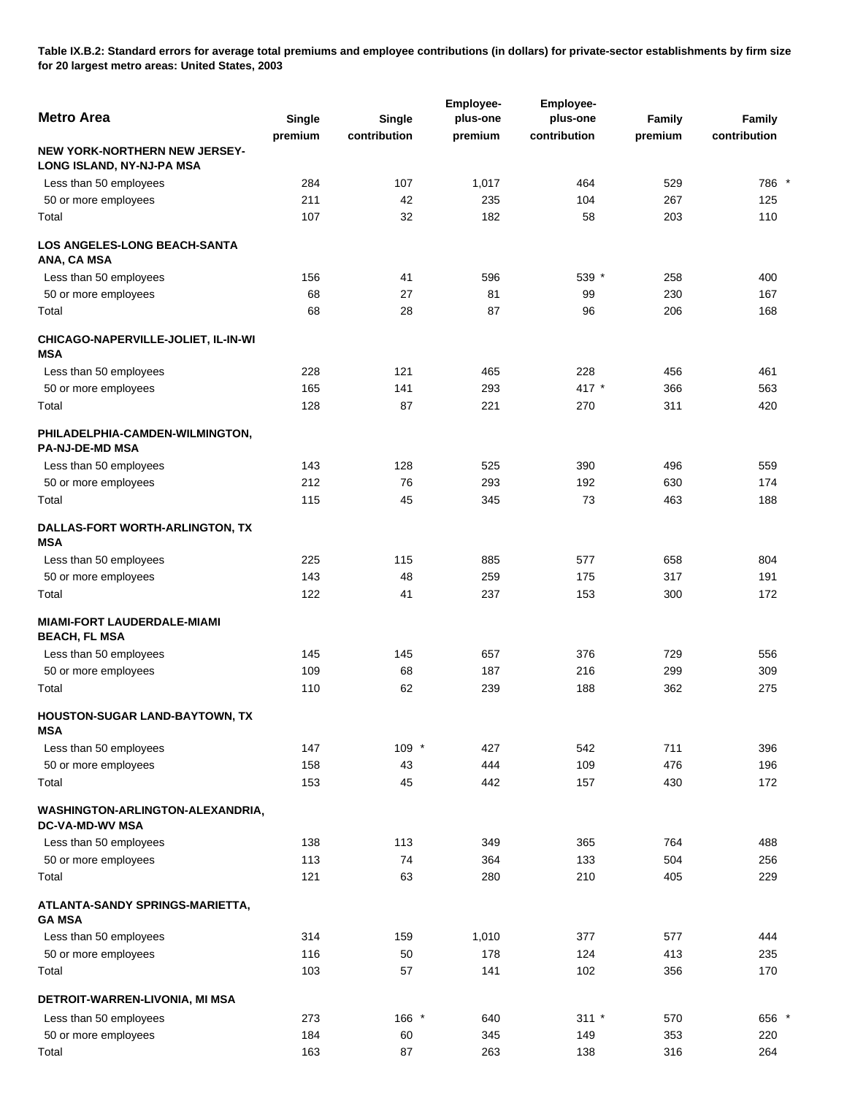**Table IX.B.2: Standard errors for average total premiums and employee contributions (in dollars) for private-sector establishments by firm size for 20 largest metro areas: United States, 2003** 

|                                                                   |         |              | Employee- | <b>Employee-</b> |         |              |
|-------------------------------------------------------------------|---------|--------------|-----------|------------------|---------|--------------|
| <b>Metro Area</b>                                                 | Single  | Single       | plus-one  | plus-one         | Family  | Family       |
|                                                                   | premium | contribution | premium   | contribution     | premium | contribution |
| <b>NEW YORK-NORTHERN NEW JERSEY-</b><br>LONG ISLAND, NY-NJ-PA MSA |         |              |           |                  |         |              |
| Less than 50 employees                                            | 284     | 107          | 1,017     | 464              | 529     | 786 *        |
| 50 or more employees                                              | 211     | 42           | 235       | 104              | 267     | 125          |
| Total                                                             | 107     | 32           | 182       | 58               | 203     | 110          |
| <b>LOS ANGELES-LONG BEACH-SANTA</b><br>ANA, CA MSA                |         |              |           |                  |         |              |
| Less than 50 employees                                            | 156     | 41           | 596       | 539 *            | 258     | 400          |
| 50 or more employees                                              | 68      | 27           | 81        | 99               | 230     | 167          |
| Total                                                             | 68      | 28           | 87        | 96               | 206     | 168          |
| CHICAGO-NAPERVILLE-JOLIET, IL-IN-WI<br><b>MSA</b>                 |         |              |           |                  |         |              |
| Less than 50 employees                                            | 228     | 121          | 465       | 228              | 456     | 461          |
| 50 or more employees                                              | 165     | 141          | 293       | 417 *            | 366     | 563          |
| Total                                                             | 128     | 87           | 221       | 270              | 311     | 420          |
| PHILADELPHIA-CAMDEN-WILMINGTON,<br><b>PA-NJ-DE-MD MSA</b>         |         |              |           |                  |         |              |
| Less than 50 employees                                            | 143     | 128          | 525       | 390              | 496     | 559          |
| 50 or more employees                                              | 212     | 76           | 293       | 192              | 630     | 174          |
| Total                                                             | 115     | 45           | 345       | 73               | 463     | 188          |
| DALLAS-FORT WORTH-ARLINGTON, TX<br><b>MSA</b>                     |         |              |           |                  |         |              |
| Less than 50 employees                                            | 225     | 115          | 885       | 577              | 658     | 804          |
| 50 or more employees                                              | 143     | 48           | 259       | 175              | 317     | 191          |
| Total                                                             | 122     | 41           | 237       | 153              | 300     | 172          |
| <b>MIAMI-FORT LAUDERDALE-MIAMI</b><br><b>BEACH, FL MSA</b>        |         |              |           |                  |         |              |
| Less than 50 employees                                            | 145     | 145          | 657       | 376              | 729     | 556          |
| 50 or more employees                                              | 109     | 68           | 187       | 216              | 299     | 309          |
| Total                                                             | 110     | 62           | 239       | 188              | 362     | 275          |
| HOUSTON-SUGAR LAND-BAYTOWN, TX<br>MSA                             |         |              |           |                  |         |              |
| Less than 50 employees                                            | 147     | 109 *        | 427       | 542              | 711     | 396          |
| 50 or more employees                                              | 158     | 43           | 444       | 109              | 476     | 196          |
| Total                                                             | 153     | 45           | 442       | 157              | 430     | 172          |
| WASHINGTON-ARLINGTON-ALEXANDRIA,<br><b>DC-VA-MD-WV MSA</b>        |         |              |           |                  |         |              |
| Less than 50 employees                                            | 138     | 113          | 349       | 365              | 764     | 488          |
| 50 or more employees                                              | 113     | 74           | 364       | 133              | 504     | 256          |
| Total                                                             | 121     | 63           | 280       | 210              | 405     | 229          |
| ATLANTA-SANDY SPRINGS-MARIETTA,<br><b>GA MSA</b>                  |         |              |           |                  |         |              |
| Less than 50 employees                                            | 314     | 159          | 1,010     | 377              | 577     | 444          |
| 50 or more employees                                              | 116     | 50           | 178       | 124              | 413     | 235          |
| Total                                                             | 103     | 57           | 141       | 102              | 356     | 170          |
| DETROIT-WARREN-LIVONIA, MI MSA                                    |         |              |           |                  |         |              |
| Less than 50 employees                                            | 273     | 166 *        | 640       | $311 *$          | 570     | 656 *        |
| 50 or more employees                                              | 184     | 60           | 345       | 149              | 353     | 220          |
| Total                                                             | 163     | 87           | 263       | 138              | 316     | 264          |